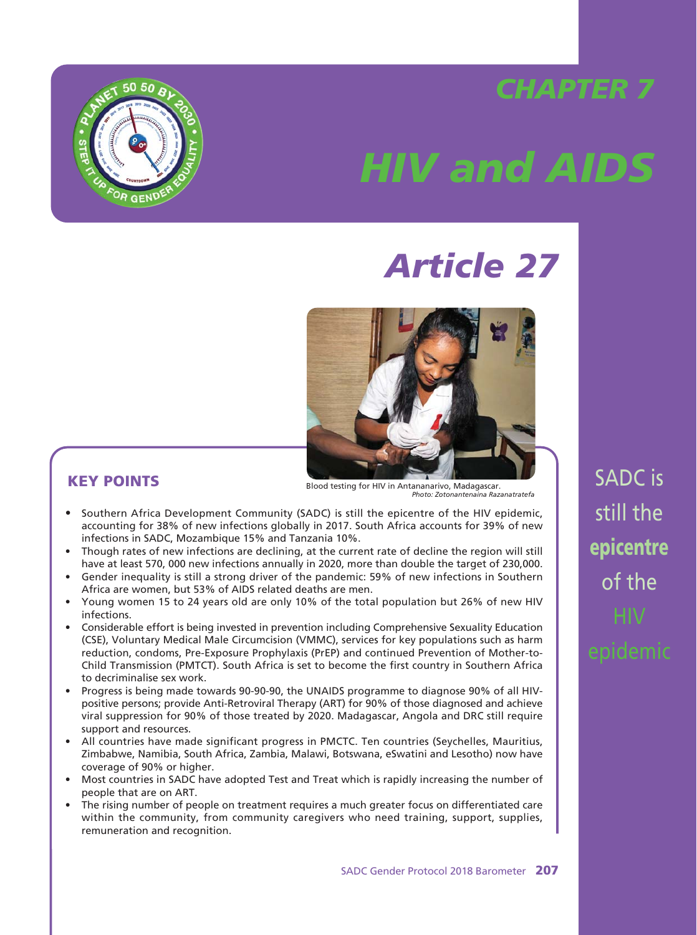## *CHAPTER 7*



# *HIV and AIDS*

# *Article 27*



*Photo: Zotonantenaina Razanatratefa*

- **•** Southern Africa Development Community (SADC) is still the epicentre of the HIV epidemic, accounting for 38% of new infections globally in 2017. South Africa accounts for 39% of new infections in SADC, Mozambique 15% and Tanzania 10%.
- Though rates of new infections are declining, at the current rate of decline the region will still have at least 570, 000 new infections annually in 2020, more than double the target of 230,000.
- Gender inequality is still a strong driver of the pandemic: 59% of new infections in Southern Africa are women, but 53% of AIDS related deaths are men.
- Young women 15 to 24 years old are only 10% of the total population but 26% of new HIV infections.
- Considerable effort is being invested in prevention including Comprehensive Sexuality Education (CSE), Voluntary Medical Male Circumcision (VMMC), services for key populations such as harm reduction, condoms, Pre-Exposure Prophylaxis (PrEP) and continued Prevention of Mother-to-Child Transmission (PMTCT). South Africa is set to become the first country in Southern Africa to decriminalise sex work.
- Progress is being made towards 90-90-90, the UNAIDS programme to diagnose 90% of all HIVpositive persons; provide Anti-Retroviral Therapy (ART) for 90% of those diagnosed and achieve viral suppression for 90% of those treated by 2020. Madagascar, Angola and DRC still require support and resources.
- All countries have made significant progress in PMCTC. Ten countries (Seychelles, Mauritius, Zimbabwe, Namibia, South Africa, Zambia, Malawi, Botswana, eSwatini and Lesotho) now have coverage of 90% or higher.
- Most countries in SADC have adopted Test and Treat which is rapidly increasing the number of people that are on ART.
- The rising number of people on treatment requires a much greater focus on differentiated care within the community, from community caregivers who need training, support, supplies, remuneration and recognition.

SADC is still the **epicentre** of the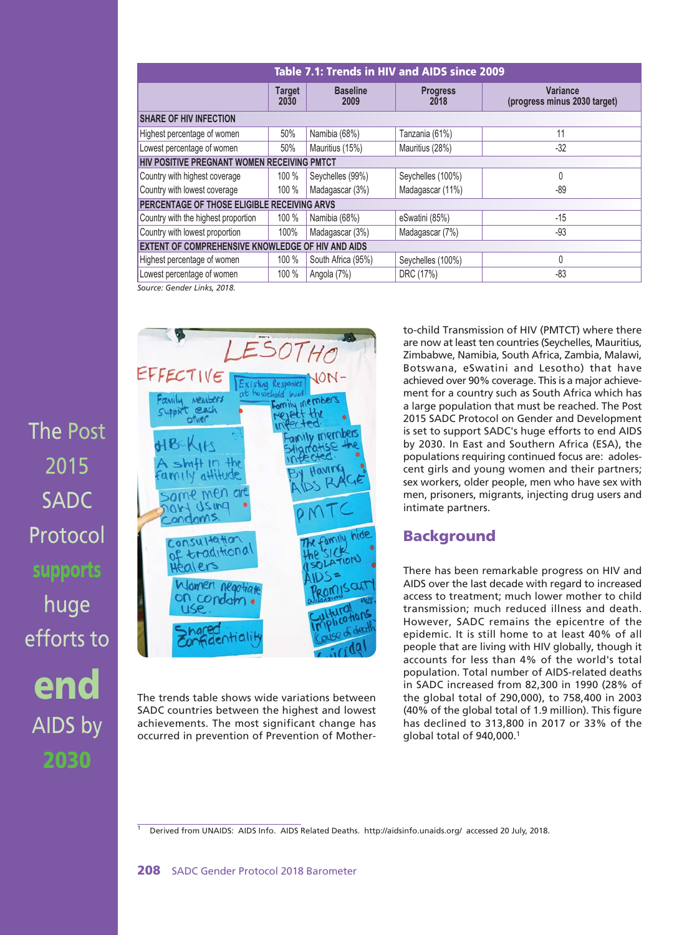| Table 7.1: Trends in HIV and AIDS since 2009      |                       |                         |                         |                                                 |  |  |  |  |  |
|---------------------------------------------------|-----------------------|-------------------------|-------------------------|-------------------------------------------------|--|--|--|--|--|
|                                                   | <b>Target</b><br>2030 | <b>Baseline</b><br>2009 | <b>Progress</b><br>2018 | <b>Variance</b><br>(progress minus 2030 target) |  |  |  |  |  |
| <b>SHARE OF HIV INFECTION</b>                     |                       |                         |                         |                                                 |  |  |  |  |  |
| Highest percentage of women                       | 50%                   | Namibia (68%)           | Tanzania (61%)          | 11                                              |  |  |  |  |  |
| Lowest percentage of women                        | 50%                   | Mauritius (15%)         | Mauritius (28%)         | $-32$                                           |  |  |  |  |  |
| HIV POSITIVE PREGNANT WOMEN RECEIVING PMTCT       |                       |                         |                         |                                                 |  |  |  |  |  |
| Country with highest coverage                     | 100 %                 | Seychelles (99%)        | Seychelles (100%)       |                                                 |  |  |  |  |  |
| Country with lowest coverage                      | 100 %                 | Madagascar (3%)         | Madagascar (11%)        | $-89$                                           |  |  |  |  |  |
| PERCENTAGE OF THOSE ELIGIBLE RECEIVING ARVS       |                       |                         |                         |                                                 |  |  |  |  |  |
| Country with the highest proportion               | 100 %                 | Namibia (68%)           | eSwatini (85%)          | $-15$                                           |  |  |  |  |  |
| Country with lowest proportion                    | 100%                  | Madagascar (3%)         | Madagascar (7%)         | $-93$                                           |  |  |  |  |  |
| EXTENT OF COMPREHENSIVE KNOWLEDGE OF HIV AND AIDS |                       |                         |                         |                                                 |  |  |  |  |  |
| Highest percentage of women                       | 100 %                 | South Africa (95%)      | Seychelles (100%)       | 0                                               |  |  |  |  |  |
| Lowest percentage of women                        | 100 %                 | Angola (7%)             | DRC (17%)               | $-83$                                           |  |  |  |  |  |
| Source: Gender Links, 2018.                       |                       |                         |                         |                                                 |  |  |  |  |  |

The Post 2015 SADC Protocol **supports** huge efforts to **end** AIDS by **2030**



The trends table shows wide variations between SADC countries between the highest and lowest achievements. The most significant change has occurred in prevention of Prevention of Motherto-child Transmission of HIV (PMTCT) where there are now at least ten countries (Seychelles, Mauritius, Zimbabwe, Namibia, South Africa, Zambia, Malawi, Botswana, eSwatini and Lesotho) that have achieved over 90% coverage. This is a major achievement for a country such as South Africa which has a large population that must be reached. The Post 2015 SADC Protocol on Gender and Development is set to support SADC's huge efforts to end AIDS by 2030. In East and Southern Africa (ESA), the populations requiring continued focus are: adolescent girls and young women and their partners; sex workers, older people, men who have sex with men, prisoners, migrants, injecting drug users and intimate partners.

### **Background**

There has been remarkable progress on HIV and AIDS over the last decade with regard to increased access to treatment; much lower mother to child transmission; much reduced illness and death. However, SADC remains the epicentre of the epidemic. It is still home to at least 40% of all people that are living with HIV globally, though it accounts for less than 4% of the world's total population. Total number of AIDS-related deaths in SADC increased from 82,300 in 1990 (28% of the global total of 290,000), to 758,400 in 2003 (40% of the global total of 1.9 million). This figure has declined to 313,800 in 2017 or 33% of the global total of 940,000.1

Derived from UNAIDS: AIDS Info. AIDS Related Deaths. http://aidsinfo.unaids.org/ accessed 20 July, 2018.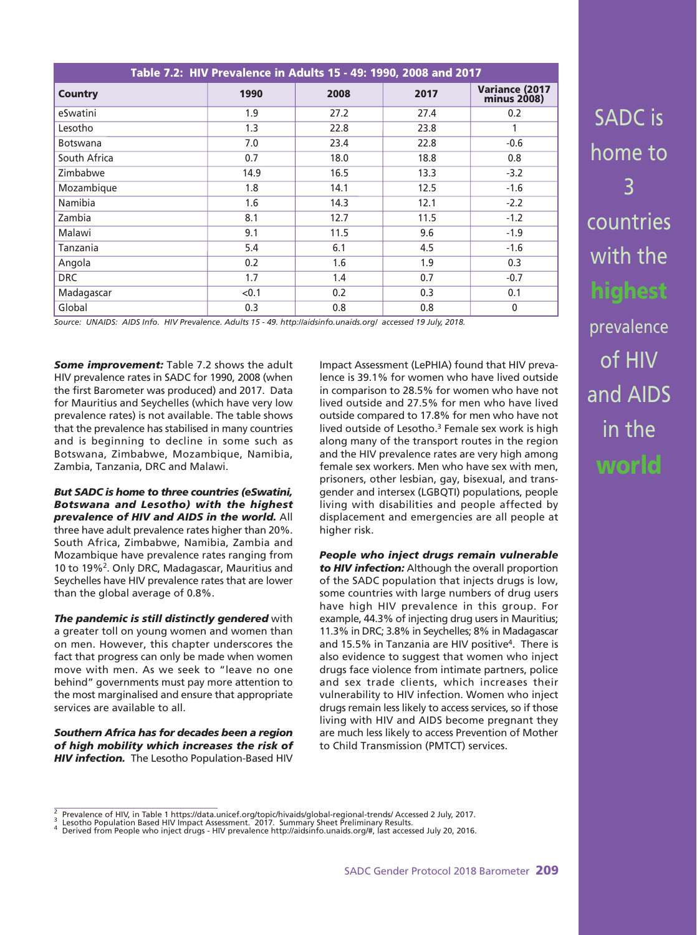| Table 7.2: HIV Prevalence in Adults 15 - 49: 1990, 2008 and 2017 |       |      |      |                                      |  |
|------------------------------------------------------------------|-------|------|------|--------------------------------------|--|
| <b>Country</b>                                                   | 1990  | 2008 | 2017 | <b>Variance (2017</b><br>minus 2008) |  |
| eSwatini                                                         | 1.9   | 27.2 | 27.4 | 0.2                                  |  |
| Lesotho                                                          | 1.3   | 22.8 | 23.8 |                                      |  |
| <b>Botswana</b>                                                  | 7.0   | 23.4 | 22.8 | $-0.6$                               |  |
| South Africa                                                     | 0.7   | 18.0 | 18.8 | 0.8                                  |  |
| Zimbabwe                                                         | 14.9  | 16.5 | 13.3 | $-3.2$                               |  |
| Mozambique                                                       | 1.8   | 14.1 | 12.5 | $-1.6$                               |  |
| Namibia                                                          | 1.6   | 14.3 | 12.1 | $-2.2$                               |  |
| Zambia                                                           | 8.1   | 12.7 | 11.5 | $-1.2$                               |  |
| Malawi                                                           | 9.1   | 11.5 | 9.6  | $-1.9$                               |  |
| Tanzania                                                         | 5.4   | 6.1  | 4.5  | $-1.6$                               |  |
| Angola                                                           | 0.2   | 1.6  | 1.9  | 0.3                                  |  |
| <b>DRC</b>                                                       | 1.7   | 1.4  | 0.7  | $-0.7$                               |  |
| Madagascar                                                       | < 0.1 | 0.2  | 0.3  | 0.1                                  |  |
| Global                                                           | 0.3   | 0.8  | 0.8  | 0                                    |  |

*Source: UNAIDS: AIDS Info. HIV Prevalence. Adults 15 - 49. http://aidsinfo.unaids.org/ accessed 19 July, 2018.*

*Some improvement:* Table 7.2 shows the adult HIV prevalence rates in SADC for 1990, 2008 (when the first Barometer was produced) and 2017. Data for Mauritius and Seychelles (which have very low prevalence rates) is not available. The table shows that the prevalence has stabilised in many countries and is beginning to decline in some such as Botswana, Zimbabwe, Mozambique, Namibia, Zambia, Tanzania, DRC and Malawi.

*But SADC is home to three countries (eSwatini, Botswana and Lesotho) with the highest prevalence of HIV and AIDS in the world.* All three have adult prevalence rates higher than 20%. South Africa, Zimbabwe, Namibia, Zambia and Mozambique have prevalence rates ranging from 10 to 19%2. Only DRC, Madagascar, Mauritius and Seychelles have HIV prevalence rates that are lower than the global average of 0.8%.

*The pandemic is still distinctly gendered* with a greater toll on young women and women than on men. However, this chapter underscores the fact that progress can only be made when women move with men. As we seek to "leave no one behind" governments must pay more attention to the most marginalised and ensure that appropriate services are available to all.

*Southern Africa has for decades been a region of high mobility which increases the risk of HIV infection.* The Lesotho Population-Based HIV

Impact Assessment (LePHIA) found that HIV prevalence is 39.1% for women who have lived outside in comparison to 28.5% for women who have not lived outside and 27.5% for men who have lived outside compared to 17.8% for men who have not lived outside of Lesotho.3 Female sex work is high along many of the transport routes in the region and the HIV prevalence rates are very high among female sex workers. Men who have sex with men, prisoners, other lesbian, gay, bisexual, and transgender and intersex (LGBQTI) populations, people living with disabilities and people affected by displacement and emergencies are all people at higher risk.

*People who inject drugs remain vulnerable to HIV infection:* Although the overall proportion of the SADC population that injects drugs is low, some countries with large numbers of drug users have high HIV prevalence in this group. For example, 44.3% of injecting drug users in Mauritius; 11.3% in DRC; 3.8% in Seychelles; 8% in Madagascar and 15.5% in Tanzania are HIV positive<sup>4</sup>. There is also evidence to suggest that women who inject drugs face violence from intimate partners, police and sex trade clients, which increases their vulnerability to HIV infection. Women who inject drugs remain less likely to access services, so if those living with HIV and AIDS become pregnant they are much less likely to access Prevention of Mother to Child Transmission (PMTCT) services.

Prevalence of HIV, in Table 1 https://data.unicef.org/topic/hivaids/global-regional-trends/ Accessed 2 July, 2017.<br>Lesotho Population Based HIV Impact Assessment. 2017. Summary Sheet Preliminary Results.<br>Derived from Peopl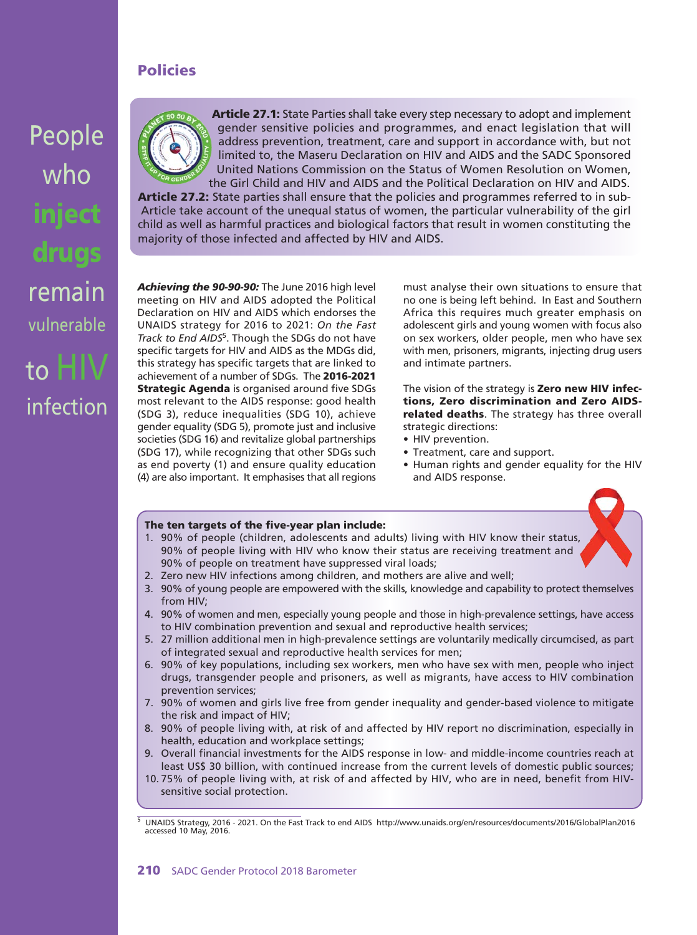### **Policies**



People

who

**inject**

**drugs**

remain

vulnerable

to HIV

infection

**Article 27.1:** State Parties shall take every step necessary to adopt and implement gender sensitive policies and programmes, and enact legislation that will address prevention, treatment, care and support in accordance with, but not limited to, the Maseru Declaration on HIV and AIDS and the SADC Sponsored United Nations Commission on the Status of Women Resolution on Women, the Girl Child and HIV and AIDS and the Political Declaration on HIV and AIDS.

**Article 27.2:** State parties shall ensure that the policies and programmes referred to in sub- Article take account of the unequal status of women, the particular vulnerability of the girl child as well as harmful practices and biological factors that result in women constituting the majority of those infected and affected by HIV and AIDS.

*Achieving the 90-90-90:* The June 2016 high level meeting on HIV and AIDS adopted the Political Declaration on HIV and AIDS which endorses the UNAIDS strategy for 2016 to 2021: *On the Fast Track to End AIDS*5. Though the SDGs do not have specific targets for HIV and AIDS as the MDGs did, this strategy has specific targets that are linked to achievement of a number of SDGs. The **2016-2021 Strategic Agenda** is organised around five SDGs most relevant to the AIDS response: good health (SDG 3), reduce inequalities (SDG 10), achieve gender equality (SDG 5), promote just and inclusive societies (SDG 16) and revitalize global partnerships (SDG 17), while recognizing that other SDGs such as end poverty (1) and ensure quality education (4) are also important. It emphasises that all regions

must analyse their own situations to ensure that no one is being left behind. In East and Southern Africa this requires much greater emphasis on adolescent girls and young women with focus also on sex workers, older people, men who have sex with men, prisoners, migrants, injecting drug users and intimate partners.

The vision of the strategy is **Zero new HIV infections, Zero discrimination and Zero AIDSrelated deaths**. The strategy has three overall strategic directions:

- HIV prevention.
- Treatment, care and support.
- Human rights and gender equality for the HIV and AIDS response.

### **The ten targets of the five-year plan include:**

- 1. 90% of people (children, adolescents and adults) living with HIV know their status, 90% of people living with HIV who know their status are receiving treatment and 90% of people on treatment have suppressed viral loads;
- 2. Zero new HIV infections among children, and mothers are alive and well;
- 3. 90% of young people are empowered with the skills, knowledge and capability to protect themselves from HIV;
- 4. 90% of women and men, especially young people and those in high-prevalence settings, have access to HIV combination prevention and sexual and reproductive health services;
- 5. 27 million additional men in high-prevalence settings are voluntarily medically circumcised, as part of integrated sexual and reproductive health services for men;
- 6. 90% of key populations, including sex workers, men who have sex with men, people who inject drugs, transgender people and prisoners, as well as migrants, have access to HIV combination prevention services;
- 7. 90% of women and girls live free from gender inequality and gender-based violence to mitigate the risk and impact of HIV;
- 8. 90% of people living with, at risk of and affected by HIV report no discrimination, especially in health, education and workplace settings;
- 9. Overall financial investments for the AIDS response in low- and middle-income countries reach at least US\$ 30 billion, with continued increase from the current levels of domestic public sources;
- 10. 75% of people living with, at risk of and affected by HIV, who are in need, benefit from HIVsensitive social protection.

<sup>5</sup> UNAIDS Strategy, 2016 - 2021. On the Fast Track to end AIDS http://www.unaids.org/en/resources/documents/2016/GlobalPlan2016 accessed 10 May, 2016.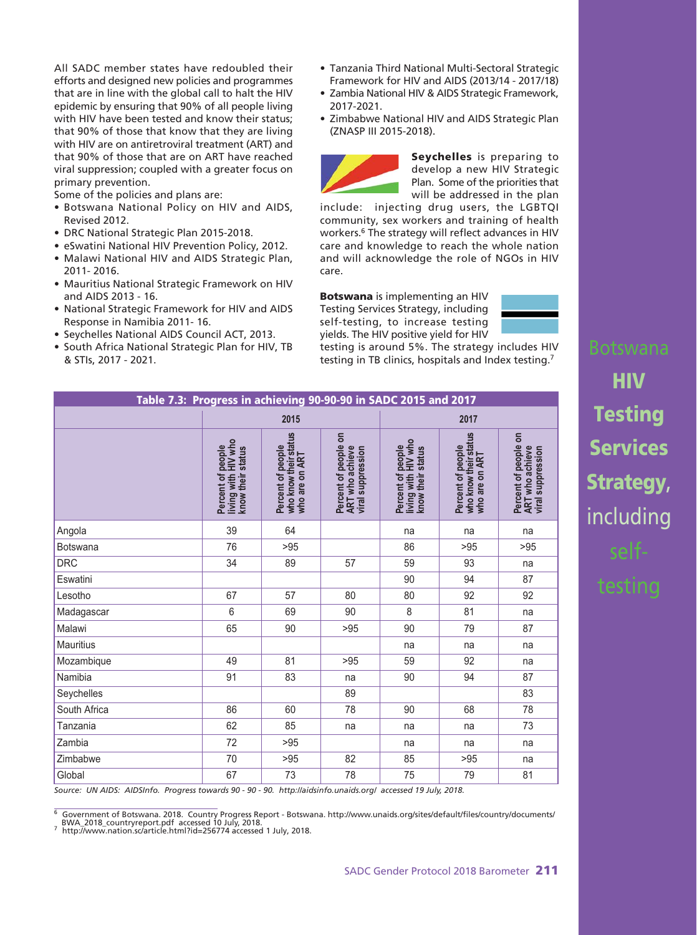All SADC member states have redoubled their efforts and designed new policies and programmes that are in line with the global call to halt the HIV epidemic by ensuring that 90% of all people living with HIV have been tested and know their status; that 90% of those that know that they are living with HIV are on antiretroviral treatment (ART) and that 90% of those that are on ART have reached viral suppression; coupled with a greater focus on primary prevention.

Some of the policies and plans are:

- Botswana National Policy on HIV and AIDS, Revised 2012.
- DRC National Strategic Plan 2015-2018.
- eSwatini National HIV Prevention Policy, 2012.
- Malawi National HIV and AIDS Strategic Plan, 2011- 2016.
- Mauritius National Strategic Framework on HIV and AIDS 2013 - 16.
- National Strategic Framework for HIV and AIDS Response in Namibia 2011- 16.
- Seychelles National AIDS Council ACT, 2013.
- South Africa National Strategic Plan for HIV, TB & STIs, 2017 - 2021.
- Tanzania Third National Multi-Sectoral Strategic Framework for HIV and AIDS (2013/14 - 2017/18)
- Zambia National HIV & AIDS Strategic Framework, 2017-2021.
- Zimbabwe National HIV and AIDS Strategic Plan (ZNASP III 2015-2018).



**Seychelles** is preparing to develop a new HIV Strategic Plan. Some of the priorities that will be addressed in the plan

include: injecting drug users, the LGBTQI community, sex workers and training of health workers.6 The strategy will reflect advances in HIV care and knowledge to reach the whole nation and will acknowledge the role of NGOs in HIV care.

**Botswana** is implementing an HIV Testing Services Strategy, including self-testing, to increase testing yields. The HIV positive yield for HIV



testing is around 5%. The strategy includes HIV testing in TB clinics, hospitals and Index testing.<sup>7</sup>

|                                                               |                                                              |     |                                                               |                                                              | Table 7.3: Progress in achieving 90-90-90 in SADC 2015 and 2017                                               |  |  |  |  |  |  |  |
|---------------------------------------------------------------|--------------------------------------------------------------|-----|---------------------------------------------------------------|--------------------------------------------------------------|---------------------------------------------------------------------------------------------------------------|--|--|--|--|--|--|--|
|                                                               | 2015                                                         |     | 2017                                                          |                                                              |                                                                                                               |  |  |  |  |  |  |  |
| living with HIV who<br>know their status<br>Percent of people | Percent of people<br>who know their status<br>who are on ART |     | Percent of people<br>living with HIV who<br>know their status | Percent of people<br>who know their status<br>who are on ART | Percent of people on<br>ART who achieve<br>viral suppression                                                  |  |  |  |  |  |  |  |
| 39                                                            | 64                                                           |     | na                                                            | na                                                           | na                                                                                                            |  |  |  |  |  |  |  |
| 76                                                            | >95                                                          |     | 86                                                            | >95                                                          | >95                                                                                                           |  |  |  |  |  |  |  |
| 34                                                            | 89                                                           | 57  | 59                                                            | 93                                                           | na                                                                                                            |  |  |  |  |  |  |  |
|                                                               |                                                              |     | 90                                                            | 94                                                           | 87                                                                                                            |  |  |  |  |  |  |  |
| 67                                                            | 57                                                           | 80  | 80                                                            | 92                                                           | 92                                                                                                            |  |  |  |  |  |  |  |
| 6                                                             | 69                                                           | 90  | 8                                                             | 81                                                           | na                                                                                                            |  |  |  |  |  |  |  |
| 65                                                            | 90                                                           | >95 | 90                                                            | 79                                                           | 87                                                                                                            |  |  |  |  |  |  |  |
|                                                               |                                                              |     | na                                                            | na                                                           | na                                                                                                            |  |  |  |  |  |  |  |
| 49                                                            | 81                                                           | >95 | 59                                                            | 92                                                           | na                                                                                                            |  |  |  |  |  |  |  |
| 91                                                            | 83                                                           | na  | 90                                                            | 94                                                           | 87                                                                                                            |  |  |  |  |  |  |  |
|                                                               |                                                              | 89  |                                                               |                                                              | 83                                                                                                            |  |  |  |  |  |  |  |
| 86                                                            | 60                                                           | 78  | 90                                                            | 68                                                           | 78                                                                                                            |  |  |  |  |  |  |  |
| 62                                                            | 85                                                           | na  | na                                                            | na                                                           | 73                                                                                                            |  |  |  |  |  |  |  |
| 72                                                            | >95                                                          |     | na                                                            | na                                                           | na                                                                                                            |  |  |  |  |  |  |  |
| 70                                                            | >95                                                          | 82  | 85                                                            | >95                                                          | na                                                                                                            |  |  |  |  |  |  |  |
| 67                                                            | 73                                                           | 78  | 75                                                            | 79                                                           | 81                                                                                                            |  |  |  |  |  |  |  |
|                                                               |                                                              |     | Percent of people on<br>ART who achieve<br>viral suppression  |                                                              | Source: UN AIDS: AIDSInfo. Progress towards 90 - 90 - 90. http://aidsinfo.unaids.org/ accessed 19 July, 2018. |  |  |  |  |  |  |  |

<sup>6</sup> Government of Botswana. 2018. Country Progress Report - Botswana. http://www.unaids.org/sites/default/files/country/documents/

BWA\_2018\_countryreport.pdf accessed 10 July, 2018. <sup>7</sup> http://www.nation.sc/article.html?id=256774 accessed 1 July, 2018.

Botswana **HIV Testing Services Strategy**, including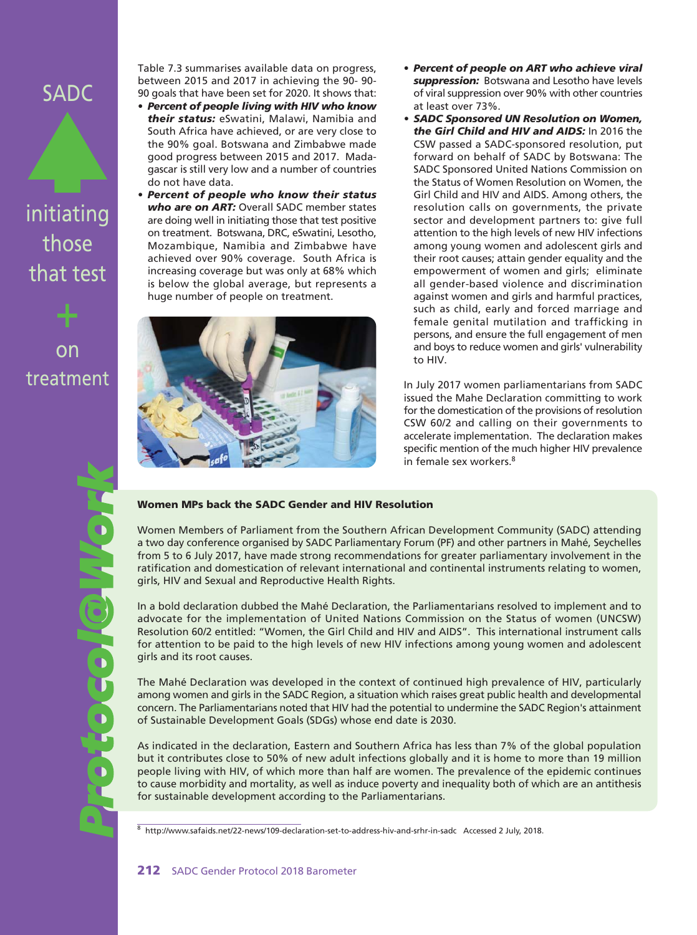

SADC

## initiating those that test



Table 7.3 summarises available data on progress, between 2015 and 2017 in achieving the 90- 90- 90 goals that have been set for 2020. It shows that:

- *Percent of people living with HIV who know their status:* eSwatini, Malawi, Namibia and South Africa have achieved, or are very close to the 90% goal. Botswana and Zimbabwe made good progress between 2015 and 2017. Madagascar is still very low and a number of countries do not have data.
- *Percent of people who know their status who are on ART:* Overall SADC member states are doing well in initiating those that test positive on treatment. Botswana, DRC, eSwatini, Lesotho, Mozambique, Namibia and Zimbabwe have achieved over 90% coverage. South Africa is increasing coverage but was only at 68% which is below the global average, but represents a huge number of people on treatment.



- *Percent of people on ART who achieve viral suppression:* Botswana and Lesotho have levels of viral suppression over 90% with other countries at least over 73%.
- *SADC Sponsored UN Resolution on Women, the Girl Child and HIV and AIDS:* In 2016 the CSW passed a SADC-sponsored resolution, put forward on behalf of SADC by Botswana: The SADC Sponsored United Nations Commission on the Status of Women Resolution on Women, the Girl Child and HIV and AIDS. Among others, the resolution calls on governments, the private sector and development partners to: give full attention to the high levels of new HIV infections among young women and adolescent girls and their root causes; attain gender equality and the empowerment of women and girls; eliminate all gender-based violence and discrimination against women and girls and harmful practices, such as child, early and forced marriage and female genital mutilation and trafficking in persons, and ensure the full engagement of men and boys to reduce women and girls' vulnerability to HIV.

In July 2017 women parliamentarians from SADC issued the Mahe Declaration committing to work for the domestication of the provisions of resolution CSW 60/2 and calling on their governments to accelerate implementation. The declaration makes specific mention of the much higher HIV prevalence in female sex workers.8

**Example 19**<br> **Protocol Working the SADC Gender and HIV Resolution**<br>
Women Members of Parliament from the Southern African I.<br>
Trom 5 to 6 July 2017, have made strong recommendations for<br>
ratification and domestication of Women Members of Parliament from the Southern African Development Community (SADC) attending a two day conference organised by SADC Parliamentary Forum (PF) and other partners in Mahé, Seychelles from 5 to 6 July 2017, have made strong recommendations for greater parliamentary involvement in the ratification and domestication of relevant international and continental instruments relating to women, girls, HIV and Sexual and Reproductive Health Rights.

In a bold declaration dubbed the Mahé Declaration, the Parliamentarians resolved to implement and to advocate for the implementation of United Nations Commission on the Status of women (UNCSW) Resolution 60/2 entitled: "Women, the Girl Child and HIV and AIDS". This international instrument calls for attention to be paid to the high levels of new HIV infections among young women and adolescent girls and its root causes.

The Mahé Declaration was developed in the context of continued high prevalence of HIV, particularly among women and girls in the SADC Region, a situation which raises great public health and developmental concern. The Parliamentarians noted that HIV had the potential to undermine the SADC Region's attainment of Sustainable Development Goals (SDGs) whose end date is 2030.

As indicated in the declaration, Eastern and Southern Africa has less than 7% of the global population but it contributes close to 50% of new adult infections globally and it is home to more than 19 million people living with HIV, of which more than half are women. The prevalence of the epidemic continues to cause morbidity and mortality, as well as induce poverty and inequality both of which are an antithesis for sustainable development according to the Parliamentarians.

8 http://www.safaids.net/22-news/109-declaration-set-to-address-hiv-and-srhr-in-sadc Accessed 2 July, 2018.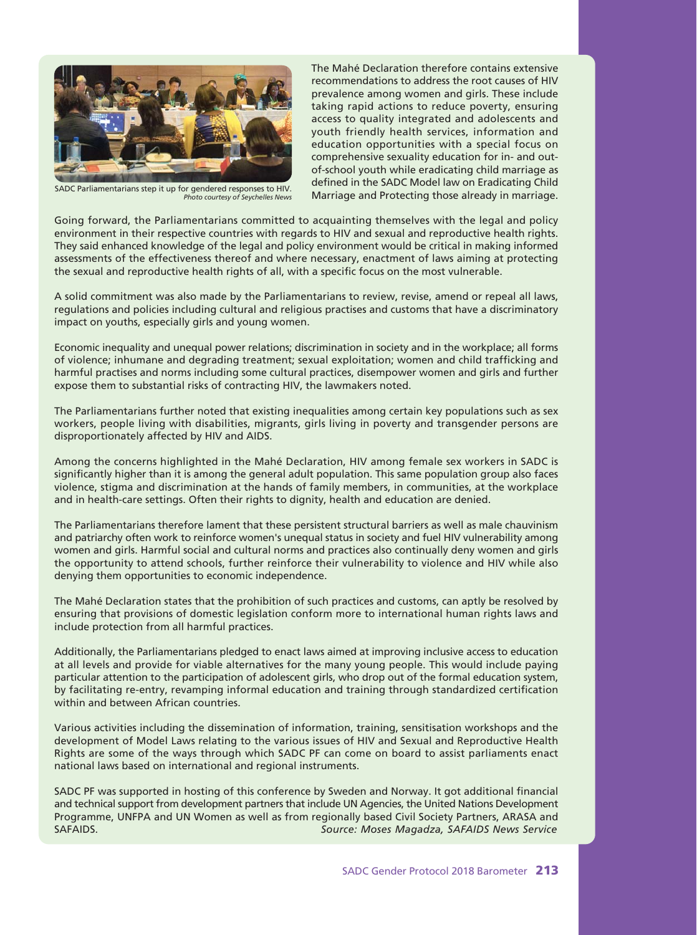

SADC Parliamentarians step it up for gendered responses to HIV. *Photo courtesy of Seychelles News*

The Mahé Declaration therefore contains extensive recommendations to address the root causes of HIV prevalence among women and girls. These include taking rapid actions to reduce poverty, ensuring access to quality integrated and adolescents and youth friendly health services, information and education opportunities with a special focus on comprehensive sexuality education for in- and outof-school youth while eradicating child marriage as defined in the SADC Model law on Eradicating Child Marriage and Protecting those already in marriage.

Going forward, the Parliamentarians committed to acquainting themselves with the legal and policy environment in their respective countries with regards to HIV and sexual and reproductive health rights. They said enhanced knowledge of the legal and policy environment would be critical in making informed assessments of the effectiveness thereof and where necessary, enactment of laws aiming at protecting the sexual and reproductive health rights of all, with a specific focus on the most vulnerable.

A solid commitment was also made by the Parliamentarians to review, revise, amend or repeal all laws, regulations and policies including cultural and religious practises and customs that have a discriminatory impact on youths, especially girls and young women.

Economic inequality and unequal power relations; discrimination in society and in the workplace; all forms of violence; inhumane and degrading treatment; sexual exploitation; women and child trafficking and harmful practises and norms including some cultural practices, disempower women and girls and further expose them to substantial risks of contracting HIV, the lawmakers noted.

The Parliamentarians further noted that existing inequalities among certain key populations such as sex workers, people living with disabilities, migrants, girls living in poverty and transgender persons are disproportionately affected by HIV and AIDS.

Among the concerns highlighted in the Mahé Declaration, HIV among female sex workers in SADC is significantly higher than it is among the general adult population. This same population group also faces violence, stigma and discrimination at the hands of family members, in communities, at the workplace and in health-care settings. Often their rights to dignity, health and education are denied.

The Parliamentarians therefore lament that these persistent structural barriers as well as male chauvinism and patriarchy often work to reinforce women's unequal status in society and fuel HIV vulnerability among women and girls. Harmful social and cultural norms and practices also continually deny women and girls the opportunity to attend schools, further reinforce their vulnerability to violence and HIV while also denying them opportunities to economic independence.

The Mahé Declaration states that the prohibition of such practices and customs, can aptly be resolved by ensuring that provisions of domestic legislation conform more to international human rights laws and include protection from all harmful practices.

Additionally, the Parliamentarians pledged to enact laws aimed at improving inclusive access to education at all levels and provide for viable alternatives for the many young people. This would include paying particular attention to the participation of adolescent girls, who drop out of the formal education system, by facilitating re-entry, revamping informal education and training through standardized certification within and between African countries.

Various activities including the dissemination of information, training, sensitisation workshops and the development of Model Laws relating to the various issues of HIV and Sexual and Reproductive Health Rights are some of the ways through which SADC PF can come on board to assist parliaments enact national laws based on international and regional instruments.

SADC PF was supported in hosting of this conference by Sweden and Norway. It got additional financial and technical support from development partners that include UN Agencies, the United Nations Development Programme, UNFPA and UN Women as well as from regionally based Civil Society Partners, ARASA and SAFAIDS. *Source: Moses Magadza, SAFAIDS News Service*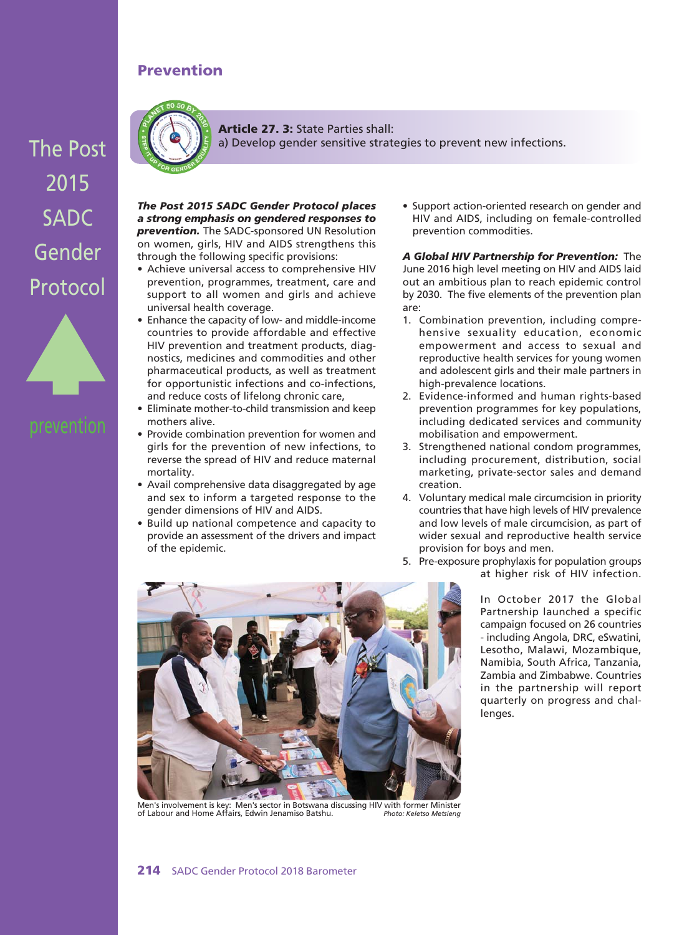### **Prevention**



Protocol



### vention

**Article 27. 3:** State Parties shall: a) Develop gender sensitive strategies to prevent new infections.

### *The Post 2015 SADC Gender Protocol places a strong emphasis on gendered responses to prevention.* The SADC-sponsored UN Resolution on women, girls, HIV and AIDS strengthens this through the following specific provisions:

- Achieve universal access to comprehensive HIV prevention, programmes, treatment, care and support to all women and girls and achieve universal health coverage.
- Enhance the capacity of low- and middle-income countries to provide affordable and effective HIV prevention and treatment products, diagnostics, medicines and commodities and other pharmaceutical products, as well as treatment for opportunistic infections and co-infections, and reduce costs of lifelong chronic care,
- Eliminate mother-to-child transmission and keep mothers alive.
- Provide combination prevention for women and girls for the prevention of new infections, to reverse the spread of HIV and reduce maternal mortality.
- Avail comprehensive data disaggregated by age and sex to inform a targeted response to the gender dimensions of HIV and AIDS.
- Build up national competence and capacity to provide an assessment of the drivers and impact of the epidemic.

• Support action-oriented research on gender and HIV and AIDS, including on female-controlled prevention commodities.

*A Global HIV Partnership for Prevention:* The June 2016 high level meeting on HIV and AIDS laid out an ambitious plan to reach epidemic control by 2030. The five elements of the prevention plan are:

- 1. Combination prevention, including comprehensive sexuality education, economic empowerment and access to sexual and reproductive health services for young women and adolescent girls and their male partners in high-prevalence locations.
- 2. Evidence-informed and human rights-based prevention programmes for key populations, including dedicated services and community mobilisation and empowerment.
- 3. Strengthened national condom programmes, including procurement, distribution, social marketing, private-sector sales and demand creation.
- 4. Voluntary medical male circumcision in priority countries that have high levels of HIV prevalence and low levels of male circumcision, as part of wider sexual and reproductive health service provision for boys and men.
- 5. Pre-exposure prophylaxis for population groups at higher risk of HIV infection.



Men's involvement is key: Men's sector in Botswana discussing HIV with former Minister of Labour and Home Affairs, Edwin Jenamiso Batshu. *Photo: Keletso Metsieng*

In October 2017 the Global Partnership launched a specific campaign focused on 26 countries - including Angola, DRC, eSwatini, Lesotho, Malawi, Mozambique, Namibia, South Africa, Tanzania, Zambia and Zimbabwe. Countries in the partnership will report quarterly on progress and challenges.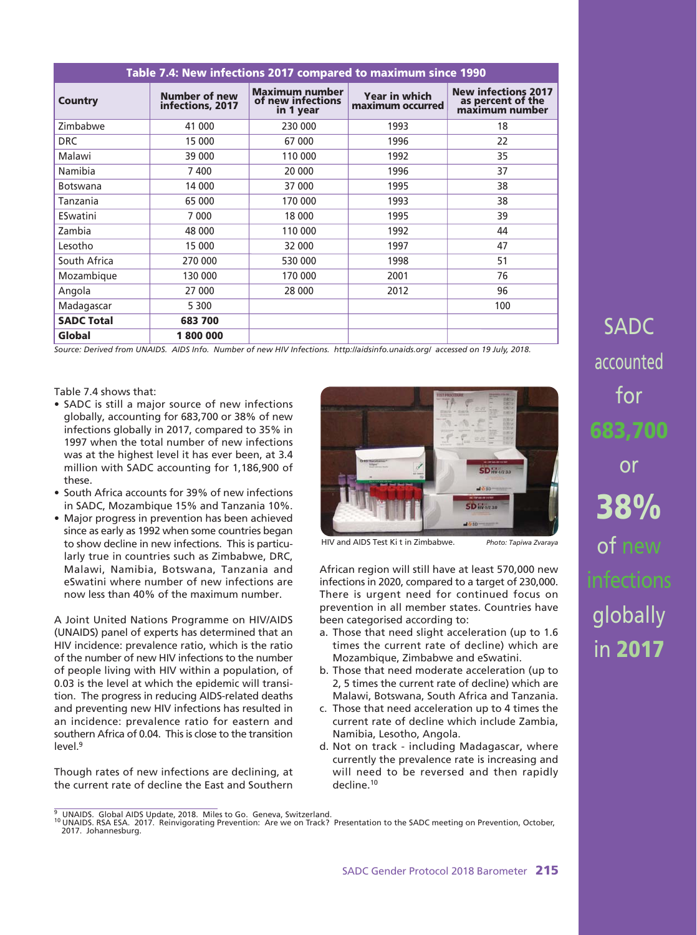| Table 7.4: New infections 2017 compared to maximum since 1990 |                                          |                                                         |                                          |                                                                   |  |  |
|---------------------------------------------------------------|------------------------------------------|---------------------------------------------------------|------------------------------------------|-------------------------------------------------------------------|--|--|
| <b>Country</b>                                                | <b>Number of new</b><br>infections, 2017 | <b>Maximum number</b><br>of new infections<br>in 1 year | <b>Year in which</b><br>maximum occurred | <b>New infections 2017</b><br>as percent of the<br>maximum number |  |  |
| Zimbabwe                                                      | 41 000                                   | 230 000                                                 | 1993                                     | 18                                                                |  |  |
| <b>DRC</b>                                                    | 15 000                                   | 67 000                                                  | 1996                                     | 22                                                                |  |  |
| Malawi                                                        | 39 000                                   | 110 000                                                 | 1992                                     | 35                                                                |  |  |
| Namibia                                                       | 7400                                     | 20 000                                                  | 1996                                     | 37                                                                |  |  |
| <b>Botswana</b>                                               | 14 000                                   | 37 000                                                  | 1995                                     | 38                                                                |  |  |
| Tanzania                                                      | 65 000                                   | 170 000                                                 | 1993                                     | 38                                                                |  |  |
| ESwatini                                                      | 7 000                                    | 18 000                                                  | 1995                                     | 39                                                                |  |  |
| Zambia                                                        | 48 000                                   | 110 000                                                 | 1992                                     | 44                                                                |  |  |
| Lesotho                                                       | 15 000                                   | 32 000                                                  | 1997                                     | 47                                                                |  |  |
| South Africa                                                  | 270 000                                  | 530 000                                                 | 1998                                     | 51                                                                |  |  |
| Mozambique                                                    | 130 000                                  | 170 000                                                 | 2001                                     | 76                                                                |  |  |
| Angola                                                        | 27 000                                   | 28 000                                                  | 2012                                     | 96                                                                |  |  |
| Madagascar                                                    | 5 300                                    |                                                         |                                          | 100                                                               |  |  |
| <b>SADC Total</b>                                             | 683 700                                  |                                                         |                                          |                                                                   |  |  |
| Global                                                        | 1800000                                  |                                                         |                                          |                                                                   |  |  |

*Source: Derived from UNAIDS. AIDS Info. Number of new HIV Infections. http://aidsinfo.unaids.org/ accessed on 19 July, 2018.*

Table 7.4 shows that:

- SADC is still a major source of new infections globally, accounting for 683,700 or 38% of new infections globally in 2017, compared to 35% in 1997 when the total number of new infections was at the highest level it has ever been, at 3.4 million with SADC accounting for 1,186,900 of these.
- South Africa accounts for 39% of new infections in SADC, Mozambique 15% and Tanzania 10%.
- Major progress in prevention has been achieved since as early as 1992 when some countries began to show decline in new infections. This is particularly true in countries such as Zimbabwe, DRC, Malawi, Namibia, Botswana, Tanzania and eSwatini where number of new infections are now less than 40% of the maximum number.

A Joint United Nations Programme on HIV/AIDS (UNAIDS) panel of experts has determined that an HIV incidence: prevalence ratio, which is the ratio of the number of new HIV infections to the number of people living with HIV within a population, of 0.03 is the level at which the epidemic will transition. The progress in reducing AIDS-related deaths and preventing new HIV infections has resulted in an incidence: prevalence ratio for eastern and southern Africa of 0.04. This is close to the transition level.9

Though rates of new infections are declining, at the current rate of decline the East and Southern



HIV and AIDS Test Ki t in Zimbabwe. *Photo: Tapiwa Zvaraya*

African region will still have at least 570,000 new infections in 2020, compared to a target of 230,000. There is urgent need for continued focus on prevention in all member states. Countries have been categorised according to:

- a. Those that need slight acceleration (up to 1.6 times the current rate of decline) which are Mozambique, Zimbabwe and eSwatini.
- b. Those that need moderate acceleration (up to 2, 5 times the current rate of decline) which are Malawi, Botswana, South Africa and Tanzania.
- c. Those that need acceleration up to 4 times the current rate of decline which include Zambia, Namibia, Lesotho, Angola.
- d. Not on track including Madagascar, where currently the prevalence rate is increasing and will need to be reversed and then rapidly decline.10

SADC accounted for **683,700** or **38%** of new globally in **2017**

 $\frac{9}{9}$  UNAIDS. Global AIDS Update, 2018. Miles to Go. Geneva, Switzerland.<br><sup>10</sup> UNAIDS. RSA ESA. 2017. Reinvigorating Prevention: Are we on Track? Presentation to the SADC meeting on Prevention, October, 2017. Johannesburg.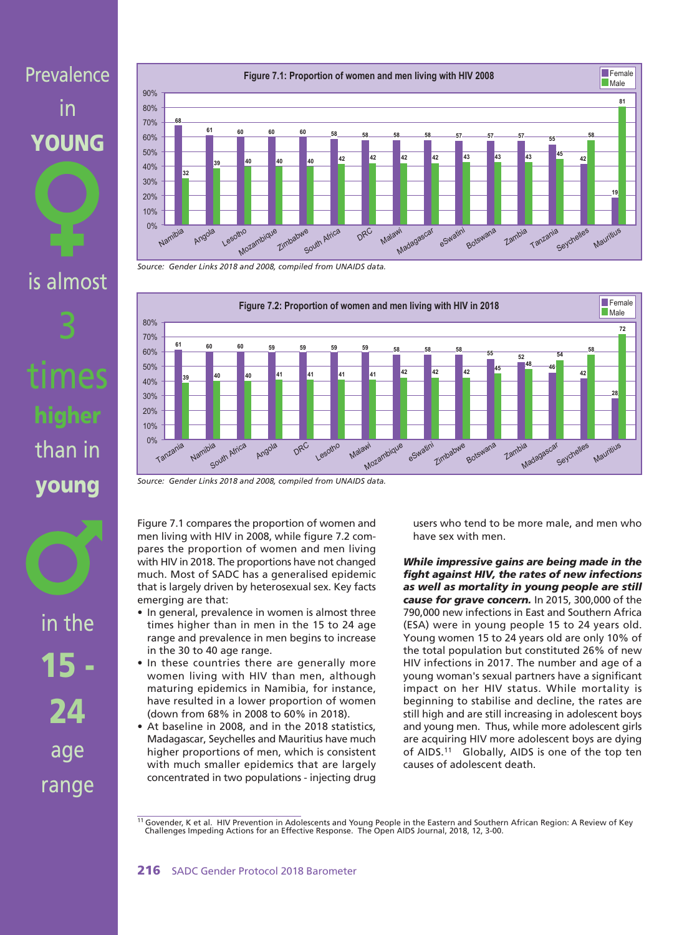Prevalence in **YOUNG**

is almost

3

times

**higher**

than in

**young**

in the

**15 -**

**24**

age

range



*Source: Gender Links 2018 and 2008, compiled from UNAIDS data.*



*Source: Gender Links 2018 and 2008, compiled from UNAIDS data.*

Figure 7.1 compares the proportion of women and men living with HIV in 2008, while figure 7.2 compares the proportion of women and men living with HIV in 2018. The proportions have not changed much. Most of SADC has a generalised epidemic that is largely driven by heterosexual sex. Key facts emerging are that:

- In general, prevalence in women is almost three times higher than in men in the 15 to 24 age range and prevalence in men begins to increase in the 30 to 40 age range.
- In these countries there are generally more women living with HIV than men, although maturing epidemics in Namibia, for instance, have resulted in a lower proportion of women (down from 68% in 2008 to 60% in 2018).
- At baseline in 2008, and in the 2018 statistics, Madagascar, Seychelles and Mauritius have much higher proportions of men, which is consistent with much smaller epidemics that are largely concentrated in two populations - injecting drug

users who tend to be more male, and men who have sex with men.

*While impressive gains are being made in the fight against HIV, the rates of new infections as well as mortality in young people are still cause for grave concern.* In 2015, 300,000 of the 790,000 new infections in East and Southern Africa (ESA) were in young people 15 to 24 years old. Young women 15 to 24 years old are only 10% of the total population but constituted 26% of new HIV infections in 2017. The number and age of a young woman's sexual partners have a significant impact on her HIV status. While mortality is beginning to stabilise and decline, the rates are still high and are still increasing in adolescent boys and young men. Thus, while more adolescent girls are acquiring HIV more adolescent boys are dying of AIDS.11 Globally, AIDS is one of the top ten causes of adolescent death.

 $11$  Govender, K et al. HIV Prevention in Adolescents and Young People in the Eastern and Southern African Region: A Review of Key Challenges Impeding Actions for an Effective Response. The Open AIDS Journal, 2018, 12, 3-00.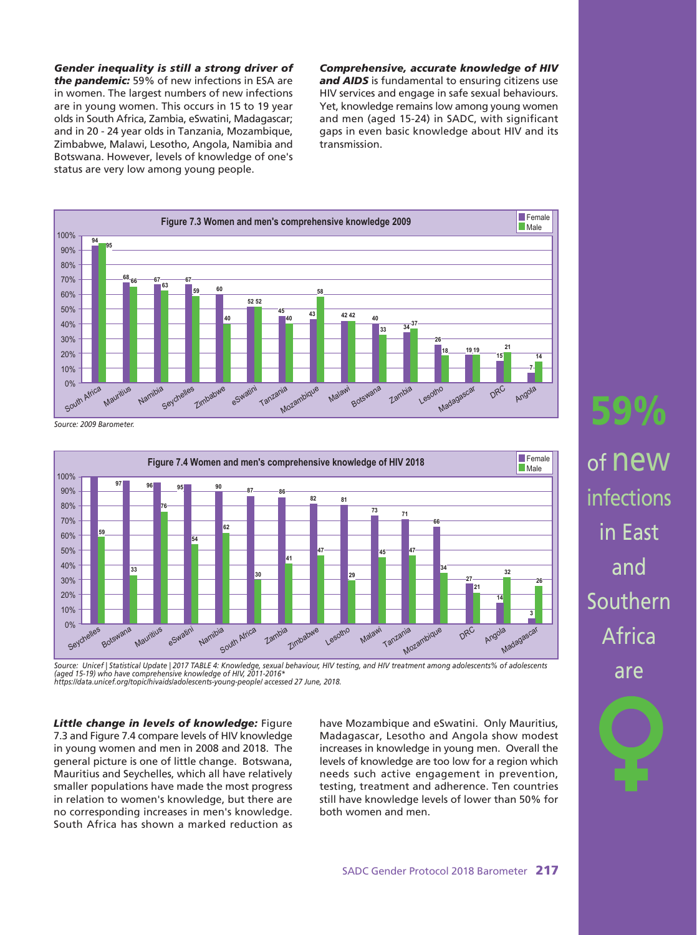*Gender inequality is still a strong driver of the pandemic:* 59% of new infections in ESA are in women. The largest numbers of new infections are in young women. This occurs in 15 to 19 year olds in South Africa, Zambia, eSwatini, Madagascar; and in 20 - 24 year olds in Tanzania, Mozambique, Zimbabwe, Malawi, Lesotho, Angola, Namibia and Botswana. However, levels of knowledge of one's status are very low among young people.

*Comprehensive, accurate knowledge of HIV and AIDS* is fundamental to ensuring citizens use HIV services and engage in safe sexual behaviours. Yet, knowledge remains low among young women and men (aged 15-24) in SADC, with significant gaps in even basic knowledge about HIV and its transmission.





*Source: Unicef | Statistical Update | 2017 TABLE 4: Knowledge, sexual behaviour, HIV testing, and HIV treatment among adolescents% of adolescents (aged 15-19) who have comprehensive knowledge of HIV, 2011-2016\* https://data.unicef.org/topic/hivaids/adolescents-young-people/ accessed 27 June, 2018.*

**Little change in levels of knowledge: Figure** 7.3 and Figure 7.4 compare levels of HIV knowledge in young women and men in 2008 and 2018. The general picture is one of little change. Botswana, Mauritius and Seychelles, which all have relatively smaller populations have made the most progress in relation to women's knowledge, but there are no corresponding increases in men's knowledge. South Africa has shown a marked reduction as

have Mozambique and eSwatini. Only Mauritius, Madagascar, Lesotho and Angola show modest increases in knowledge in young men. Overall the levels of knowledge are too low for a region which needs such active engagement in prevention, testing, treatment and adherence. Ten countries still have knowledge levels of lower than 50% for both women and men.

## **59%**

of new infections in East and Southern Africa are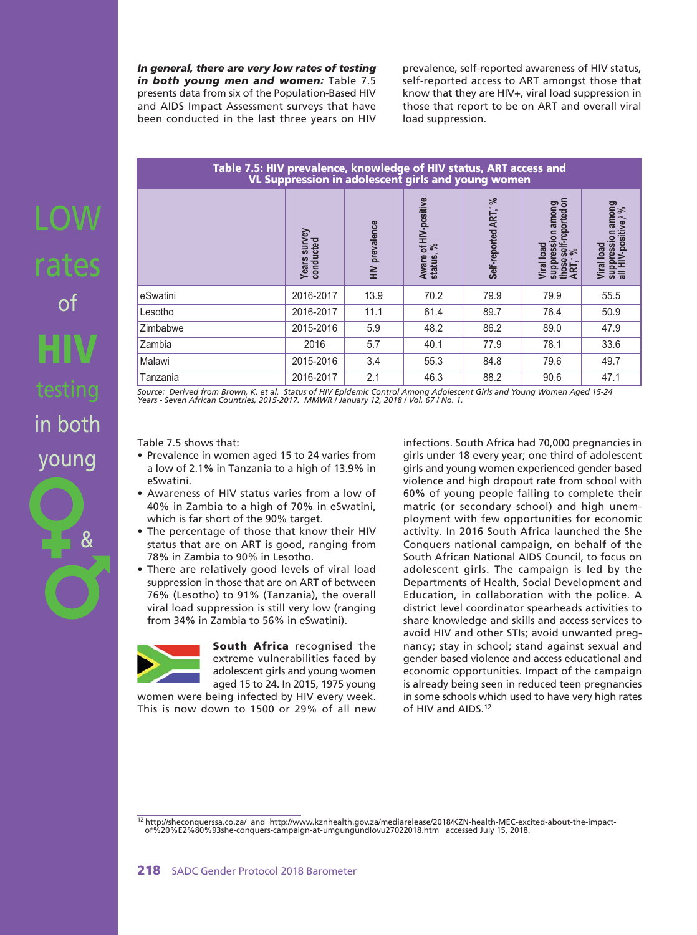*In general, there are very low rates of testing in both young men and women:* Table 7.5 presents data from six of the Population-Based HIV and AIDS Impact Assessment surveys that have been conducted in the last three years on HIV

prevalence, self-reported awareness of HIV status, self-reported access to ART amongst those that know that they are HIV+, viral load suppression in those that report to be on ART and overall viral load suppression.

|          | survey<br>conducted<br>Years | prevalence<br>$\geq$ | of HIV-positive<br>వ్<br>Aware c<br>status, | Self-reported ART, % | self-reported on<br>suppression among<br>Viral load<br>వ్<br>those:<br>ART, | among<br>వ్<br>Viral load<br>suppression amo<br>all HIV-positive, <sup>s</sup> ' |
|----------|------------------------------|----------------------|---------------------------------------------|----------------------|-----------------------------------------------------------------------------|----------------------------------------------------------------------------------|
| eSwatini | 2016-2017                    | 13.9                 | 70.2                                        | 79.9                 | 79.9                                                                        | 55.5                                                                             |
| Lesotho  | 2016-2017                    | 11.1                 | 61.4                                        | 89.7                 | 76.4                                                                        | 50.9                                                                             |
| Zimbabwe | 2015-2016                    | 5.9                  | 48.2                                        | 86.2                 | 89.0                                                                        | 47.9                                                                             |
| Zambia   | 2016                         | 5.7                  | 40.1                                        | 77.9                 | 78.1                                                                        | 33.6                                                                             |
| Malawi   | 2015-2016                    | 3.4                  | 55.3                                        | 84.8                 | 79.6                                                                        | 49.7                                                                             |
| Tanzania | 2016-2017                    | 2.1                  | 46.3                                        | 88.2                 | 90.6                                                                        | 47.1                                                                             |

Table 7.5 shows that:

- Prevalence in women aged 15 to 24 varies from a low of 2.1% in Tanzania to a high of 13.9% in eSwatini.
- Awareness of HIV status varies from a low of 40% in Zambia to a high of 70% in eSwatini, which is far short of the 90% target.
- The percentage of those that know their HIV status that are on ART is good, ranging from 78% in Zambia to 90% in Lesotho.
- There are relatively good levels of viral load suppression in those that are on ART of between 76% (Lesotho) to 91% (Tanzania), the overall viral load suppression is still very low (ranging from 34% in Zambia to 56% in eSwatini).



**South Africa** recognised the extreme vulnerabilities faced by adolescent girls and young women aged 15 to 24. In 2015, 1975 young

women were being infected by HIV every week. This is now down to 1500 or 29% of all new

infections. South Africa had 70,000 pregnancies in girls under 18 every year; one third of adolescent girls and young women experienced gender based violence and high dropout rate from school with 60% of young people failing to complete their matric (or secondary school) and high unemployment with few opportunities for economic activity. In 2016 South Africa launched the She Conquers national campaign, on behalf of the South African National AIDS Council, to focus on adolescent girls. The campaign is led by the Departments of Health, Social Development and Education, in collaboration with the police. A district level coordinator spearheads activities to share knowledge and skills and access services to avoid HIV and other STIs; avoid unwanted pregnancy; stay in school; stand against sexual and gender based violence and access educational and economic opportunities. Impact of the campaign is already being seen in reduced teen pregnancies in some schools which used to have very high rates of HIV and AIDS.12

<sup>&</sup>lt;sup>12</sup> http://sheconquerssa.co.za/ and http://www.kznhealth.gov.za/mediarelease/2018/KZN-health-MEC-excited-about-the-impact-<br>of%20%E2%80%93she-conquers-campaign-at-umgungundlovu27022018.htm accessed July 15, 2018.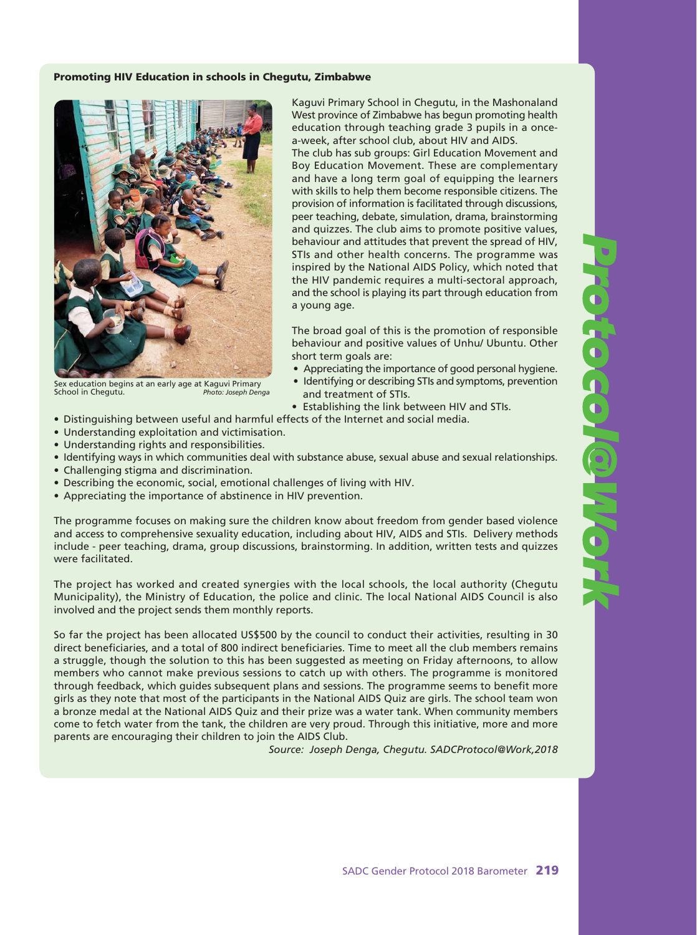### **Promoting HIV Education in schools in Chegutu, Zimbabwe**



Sex education begins at an early age at Kaguvi Primary<br>School in Chegutu. *Photo: Joseph Denga* School in Chegutu. *Photo: Joseph Denga*

Kaguvi Primary School in Chegutu, in the Mashonaland West province of Zimbabwe has begun promoting health education through teaching grade 3 pupils in a oncea-week, after school club, about HIV and AIDS.

The club has sub groups: Girl Education Movement and Boy Education Movement. These are complementary and have a long term goal of equipping the learners with skills to help them become responsible citizens. The provision of information is facilitated through discussions, peer teaching, debate, simulation, drama, brainstorming and quizzes. The club aims to promote positive values, behaviour and attitudes that prevent the spread of HIV, STIs and other health concerns. The programme was inspired by the National AIDS Policy, which noted that the HIV pandemic requires a multi-sectoral approach, and the school is playing its part through education from a young age.

The broad goal of this is the promotion of responsible behaviour and positive values of Unhu/ Ubuntu. Other short term goals are:

- Appreciating the importance of good personal hygiene.
- Identifying or describing STIs and symptoms, prevention and treatment of STIs.
- Establishing the link between HIV and STIs.
- Distinguishing between useful and harmful effects of the Internet and social media.
- Understanding exploitation and victimisation.
- Understanding rights and responsibilities.
- Identifying ways in which communities deal with substance abuse, sexual abuse and sexual relationships.
- Challenging stigma and discrimination.
- Describing the economic, social, emotional challenges of living with HIV.
- Appreciating the importance of abstinence in HIV prevention.

The programme focuses on making sure the children know about freedom from gender based violence and access to comprehensive sexuality education, including about HIV, AIDS and STIs. Delivery methods include - peer teaching, drama, group discussions, brainstorming. In addition, written tests and quizzes were facilitated.

The project has worked and created synergies with the local schools, the local authority (Chegutu Municipality), the Ministry of Education, the police and clinic. The local National AIDS Council is also involved and the project sends them monthly reports.

So far the project has been allocated US\$500 by the council to conduct their activities, resulting in 30 direct beneficiaries, and a total of 800 indirect beneficiaries. Time to meet all the club members remains a struggle, though the solution to this has been suggested as meeting on Friday afternoons, to allow members who cannot make previous sessions to catch up with others. The programme is monitored through feedback, which guides subsequent plans and sessions. The programme seems to benefit more girls as they note that most of the participants in the National AIDS Quiz are girls. The school team won a bronze medal at the National AIDS Quiz and their prize was a water tank. When community members come to fetch water from the tank, the children are very proud. Through this initiative, more and more parents are encouraging their children to join the AIDS Club.

*Source: Joseph Denga, Chegutu. SADCProtocol@Work,2018*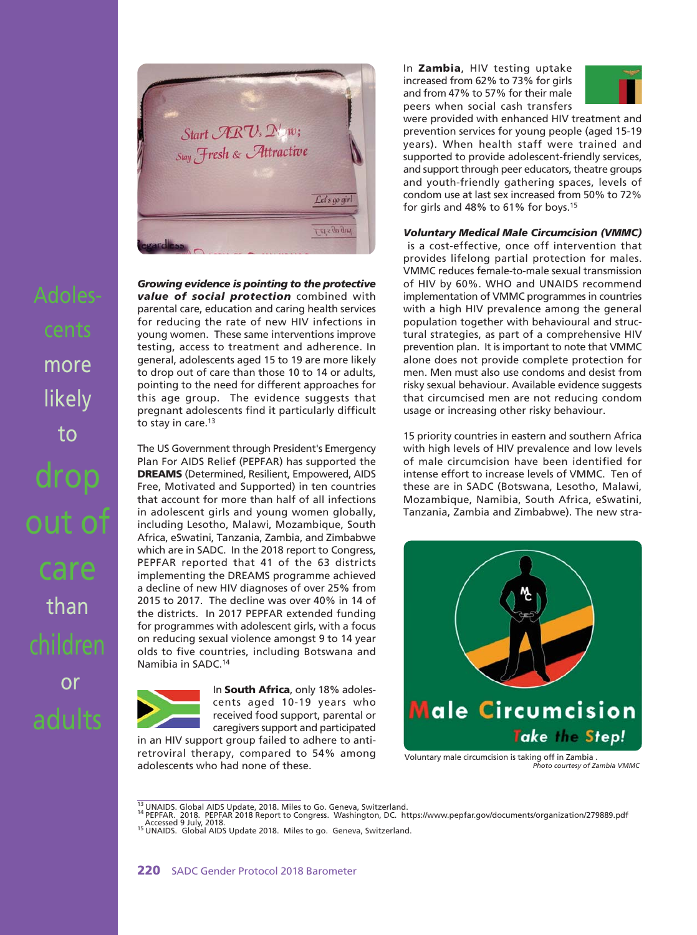

*Growing evidence is pointing to the protective value of social protection* combined with parental care, education and caring health services for reducing the rate of new HIV infections in young women. These same interventions improve testing, access to treatment and adherence. In general, adolescents aged 15 to 19 are more likely to drop out of care than those 10 to 14 or adults, pointing to the need for different approaches for this age group. The evidence suggests that pregnant adolescents find it particularly difficult to stay in care.<sup>13</sup>

The US Government through President's Emergency Plan For AIDS Relief (PEPFAR) has supported the **DREAMS** (Determined, Resilient, Empowered, AIDS Free, Motivated and Supported) in ten countries that account for more than half of all infections in adolescent girls and young women globally, including Lesotho, Malawi, Mozambique, South Africa, eSwatini, Tanzania, Zambia, and Zimbabwe which are in SADC. In the 2018 report to Congress, PEPFAR reported that 41 of the 63 districts implementing the DREAMS programme achieved a decline of new HIV diagnoses of over 25% from 2015 to 2017. The decline was over 40% in 14 of the districts. In 2017 PEPFAR extended funding for programmes with adolescent girls, with a focus on reducing sexual violence amongst 9 to 14 year olds to five countries, including Botswana and Namibia in SADC.14



cents

more

likely

to

care

than

or

adults

In **South Africa**, only 18% adolescents aged 10-19 years who received food support, parental or caregivers support and participated

in an HIV support group failed to adhere to antiretroviral therapy, compared to 54% among adolescents who had none of these.

In **Zambia**, HIV testing uptake increased from 62% to 73% for girls and from 47% to 57% for their male peers when social cash transfers



were provided with enhanced HIV treatment and prevention services for young people (aged 15-19 years). When health staff were trained and supported to provide adolescent-friendly services, and support through peer educators, theatre groups and youth-friendly gathering spaces, levels of condom use at last sex increased from 50% to 72% for girls and 48% to 61% for boys.<sup>15</sup>

### *Voluntary Medical Male Circumcision (VMMC)*

 is a cost-effective, once off intervention that provides lifelong partial protection for males. VMMC reduces female-to-male sexual transmission of HIV by 60%. WHO and UNAIDS recommend implementation of VMMC programmes in countries with a high HIV prevalence among the general population together with behavioural and structural strategies, as part of a comprehensive HIV prevention plan. It is important to note that VMMC alone does not provide complete protection for men. Men must also use condoms and desist from risky sexual behaviour. Available evidence suggests that circumcised men are not reducing condom usage or increasing other risky behaviour.

15 priority countries in eastern and southern Africa with high levels of HIV prevalence and low levels of male circumcision have been identified for intense effort to increase levels of VMMC. Ten of these are in SADC (Botswana, Lesotho, Malawi, Mozambique, Namibia, South Africa, eSwatini, Tanzania, Zambia and Zimbabwe). The new stra-



Voluntary male circumcision is taking off in Zambia . *Photo courtesy of Zambia VMMC*

 $\frac{13}{13}$  UNAIDS. Global AIDS Update, 2018. Miles to Go. Geneva, Switzerland.<br><sup>14</sup> PEPFAR. 2018. PEPFAR 2018 Report to Congress. Washington, DC. https://www.pepfar.gov/documents/organization/279889.pdf<br>Accessed 9 July.

Accessed 9 July, 2018. <sup>15</sup> UNAIDS. Global AIDS Update 2018. Miles to go. Geneva, Switzerland.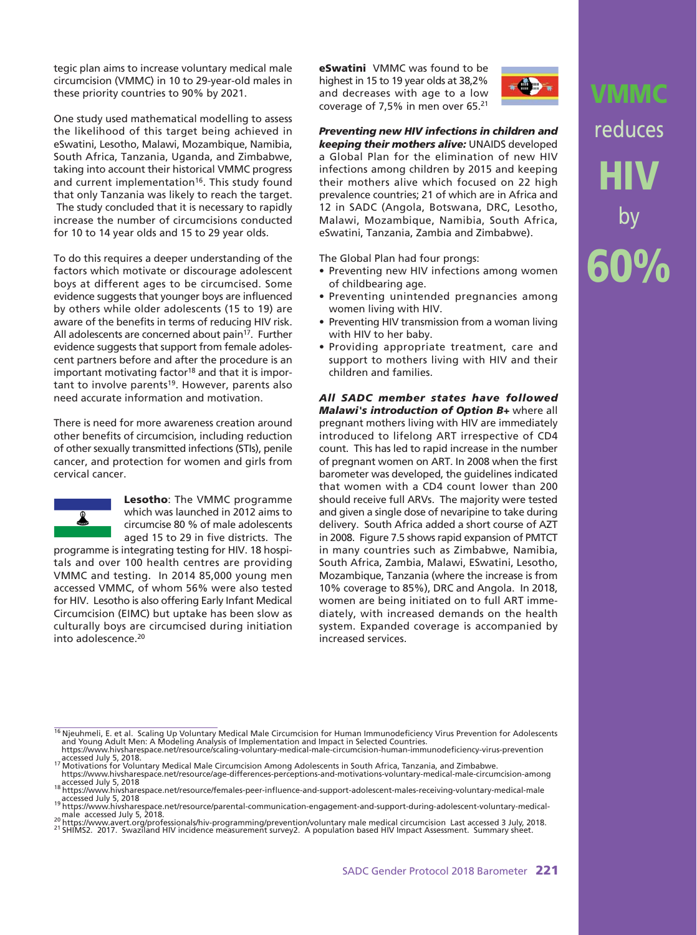tegic plan aims to increase voluntary medical male circumcision (VMMC) in 10 to 29-year-old males in these priority countries to 90% by 2021.

One study used mathematical modelling to assess the likelihood of this target being achieved in eSwatini, Lesotho, Malawi, Mozambique, Namibia, South Africa, Tanzania, Uganda, and Zimbabwe, taking into account their historical VMMC progress and current implementation<sup>16</sup>. This study found that only Tanzania was likely to reach the target. The study concluded that it is necessary to rapidly increase the number of circumcisions conducted for 10 to 14 year olds and 15 to 29 year olds.

To do this requires a deeper understanding of the factors which motivate or discourage adolescent boys at different ages to be circumcised. Some evidence suggests that younger boys are influenced by others while older adolescents (15 to 19) are aware of the benefits in terms of reducing HIV risk. All adolescents are concerned about pain<sup>17</sup>. Further evidence suggests that support from female adolescent partners before and after the procedure is an important motivating factor $18$  and that it is important to involve parents<sup>19</sup>. However, parents also need accurate information and motivation.

There is need for more awareness creation around other benefits of circumcision, including reduction of other sexually transmitted infections (STIs), penile cancer, and protection for women and girls from cervical cancer.



**Lesotho**: The VMMC programme which was launched in 2012 aims to circumcise 80 % of male adolescents aged 15 to 29 in five districts. The

programme is integrating testing for HIV. 18 hospitals and over 100 health centres are providing VMMC and testing. In 2014 85,000 young men accessed VMMC, of whom 56% were also tested for HIV. Lesotho is also offering Early Infant Medical Circumcision (EIMC) but uptake has been slow as culturally boys are circumcised during initiation into adolescence.20

**eSwatini** VMMC was found to be highest in 15 to 19 year olds at 38,2% and decreases with age to a low coverage of 7,5% in men over 65.21



*Preventing new HIV infections in children and keeping their mothers alive:* UNAIDS developed a Global Plan for the elimination of new HIV infections among children by 2015 and keeping their mothers alive which focused on 22 high prevalence countries; 21 of which are in Africa and 12 in SADC (Angola, Botswana, DRC, Lesotho, Malawi, Mozambique, Namibia, South Africa, eSwatini, Tanzania, Zambia and Zimbabwe).

The Global Plan had four prongs:

- Preventing new HIV infections among women of childbearing age.
- Preventing unintended pregnancies among women living with HIV.
- Preventing HIV transmission from a woman living with HIV to her baby.
- Providing appropriate treatment, care and support to mothers living with HIV and their children and families.

*All SADC member states have followed Malawi's introduction of Option B+* where all pregnant mothers living with HIV are immediately introduced to lifelong ART irrespective of CD4 count. This has led to rapid increase in the number of pregnant women on ART. In 2008 when the first barometer was developed, the guidelines indicated that women with a CD4 count lower than 200 should receive full ARVs. The majority were tested and given a single dose of nevaripine to take during delivery. South Africa added a short course of AZT in 2008. Figure 7.5 shows rapid expansion of PMTCT in many countries such as Zimbabwe, Namibia, South Africa, Zambia, Malawi, ESwatini, Lesotho, Mozambique, Tanzania (where the increase is from 10% coverage to 85%), DRC and Angola. In 2018, women are being initiated on to full ART immediately, with increased demands on the health system. Expanded coverage is accompanied by increased services.

<sup>&</sup>lt;sup>16</sup> Njeuhmeli, E. et al. Scaling Up Voluntary Medical Male Circumcision for Human Immunodeficiency Virus Prevention for Adolescents and Young Adult Men: A Modeling Analysis of Implementation and Impact in Selected Countri https://www.hivsharespace.net/resource/scaling-voluntary-medical-male-circumcision-human-immunodeficiency-virus-prevention

accessed July 5, 2018.<br><sup>17</sup> Motivations for Voluntary Medical Male Circumcision Among Adolescents in South Africa, Tanzania, and Zimbabwe.<br>19 https://www.hivsharespace.net/resource/age-differences-perceptions-and-motivatio

accessed July 5, 2018<br>18 https://www.hivsharespace.net/resource/females-peer-influence-and-support-adolescent-males-receiving-voluntary-medical-male<br>18 https://www.hivsharespace.net/resource/females-peer-influence-and-supp accessed July 5, 2018<br><sup>19</sup> https://www.hivsharespace.net/resource/parental-communication-engagement-and-support-during-adolescent-voluntary-medical-

male accessed July 5, 2018.<br><sup>20</sup> https://www.avert.org/professionals/hiv-programming/prevention/voluntary male medical circumcision Last accessed 3 July, 2018.<br><sup>21</sup> SHIMS2. 2017. Swaziland HIV incidence measurement surve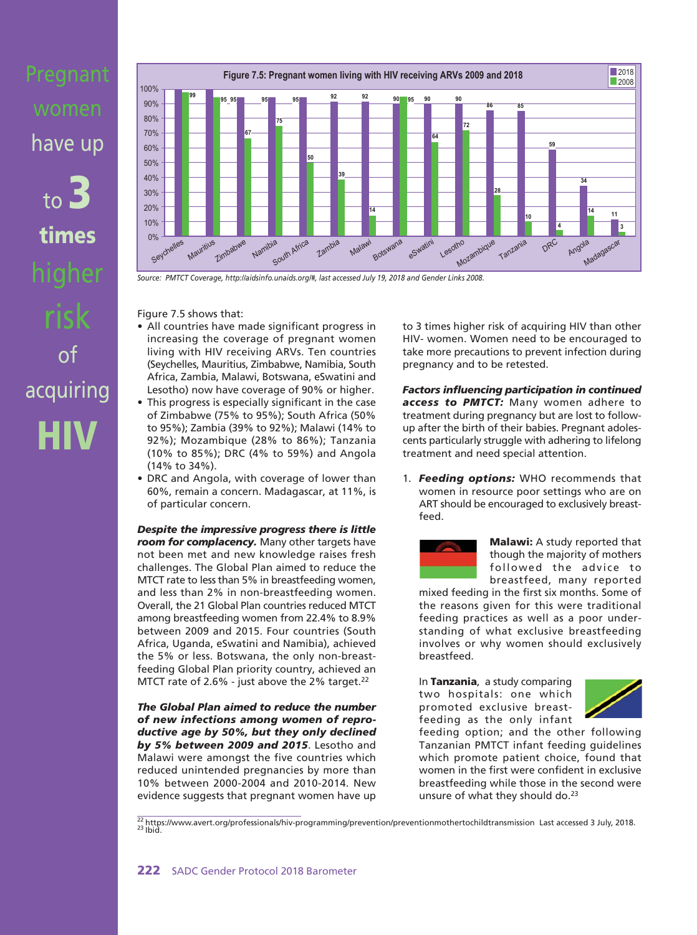egnant omen have up to **3 times** risk of acquiring **HIV**



*Source: PMTCT Coverage, http://aidsinfo.unaids.org/#, last accessed July 19, 2018 and Gender Links 2008.*

Figure 7.5 shows that:

- All countries have made significant progress in increasing the coverage of pregnant women living with HIV receiving ARVs. Ten countries (Seychelles, Mauritius, Zimbabwe, Namibia, South Africa, Zambia, Malawi, Botswana, eSwatini and Lesotho) now have coverage of 90% or higher.
- This progress is especially significant in the case of Zimbabwe (75% to 95%); South Africa (50% to 95%); Zambia (39% to 92%); Malawi (14% to 92%); Mozambique (28% to 86%); Tanzania (10% to 85%); DRC (4% to 59%) and Angola (14% to 34%).
- DRC and Angola, with coverage of lower than 60%, remain a concern. Madagascar, at 11%, is of particular concern.

*Despite the impressive progress there is little room for complacency.* Many other targets have not been met and new knowledge raises fresh challenges. The Global Plan aimed to reduce the MTCT rate to less than 5% in breastfeeding women, and less than 2% in non-breastfeeding women. Overall, the 21 Global Plan countries reduced MTCT among breastfeeding women from 22.4% to 8.9% between 2009 and 2015. Four countries (South Africa, Uganda, eSwatini and Namibia), achieved the 5% or less. Botswana, the only non-breastfeeding Global Plan priority country, achieved an MTCT rate of 2.6% - just above the 2% target. $22$ 

*The Global Plan aimed to reduce the number of new infections among women of reproductive age by 50%, but they only declined by 5% between 2009 and 2015*. Lesotho and Malawi were amongst the five countries which reduced unintended pregnancies by more than 10% between 2000-2004 and 2010-2014. New evidence suggests that pregnant women have up

to 3 times higher risk of acquiring HIV than other HIV- women. Women need to be encouraged to take more precautions to prevent infection during pregnancy and to be retested.

*Factors influencing participation in continued access to PMTCT:* Many women adhere to treatment during pregnancy but are lost to followup after the birth of their babies. Pregnant adolescents particularly struggle with adhering to lifelong treatment and need special attention.

1. *Feeding options:* WHO recommends that women in resource poor settings who are on ART should be encouraged to exclusively breastfeed.



**Malawi:** A study reported that though the majority of mothers followed the advice to breastfeed, many reported

mixed feeding in the first six months. Some of the reasons given for this were traditional feeding practices as well as a poor understanding of what exclusive breastfeeding involves or why women should exclusively breastfeed.

In **Tanzania**, a study comparing two hospitals: one which promoted exclusive breastfeeding as the only infant



feeding option; and the other following Tanzanian PMTCT infant feeding guidelines which promote patient choice, found that women in the first were confident in exclusive breastfeeding while those in the second were unsure of what they should do.<sup>23</sup>

 $\frac{22}{21}$ https://www.avert.org/professionals/hiv-programming/prevention/preventionmothertochildtransmission Last accessed 3 July, 2018.<br><sup>23</sup> Ibid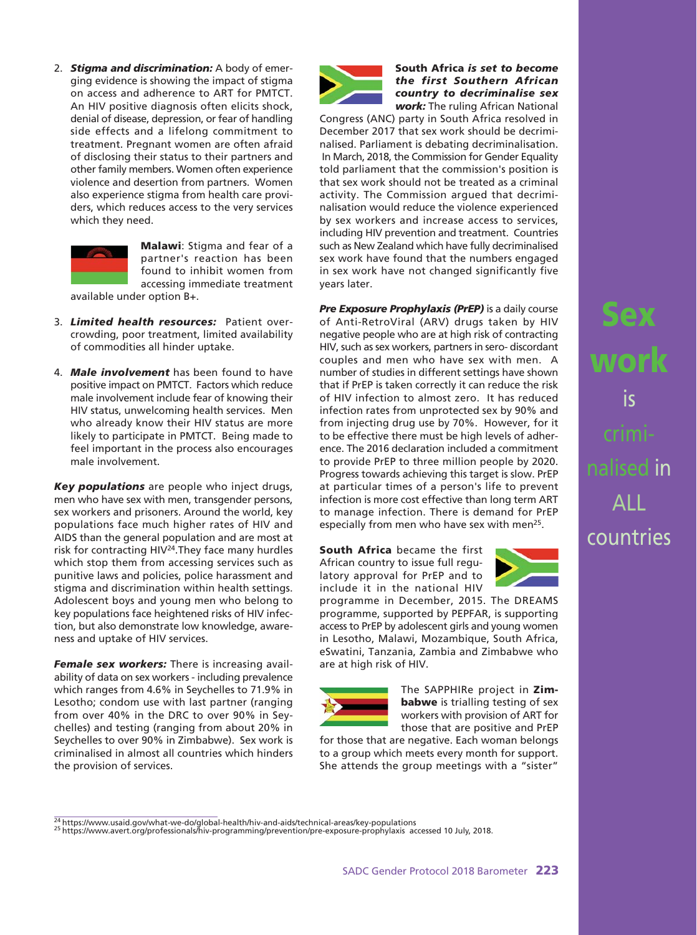2. *Stigma and discrimination:* A body of emerging evidence is showing the impact of stigma on access and adherence to ART for PMTCT. An HIV positive diagnosis often elicits shock, denial of disease, depression, or fear of handling side effects and a lifelong commitment to treatment. Pregnant women are often afraid of disclosing their status to their partners and other family members. Women often experience violence and desertion from partners. Women also experience stigma from health care providers, which reduces access to the very services which they need.



**Malawi**: Stigma and fear of a partner's reaction has been found to inhibit women from accessing immediate treatment

available under option B+.

- 3. *Limited health resources:* Patient overcrowding, poor treatment, limited availability of commodities all hinder uptake.
- 4. *Male involvement* has been found to have positive impact on PMTCT. Factors which reduce male involvement include fear of knowing their HIV status, unwelcoming health services. Men who already know their HIV status are more likely to participate in PMTCT. Being made to feel important in the process also encourages male involvement.

*Key populations* are people who inject drugs, men who have sex with men, transgender persons, sex workers and prisoners. Around the world, key populations face much higher rates of HIV and AIDS than the general population and are most at risk for contracting HIV24.They face many hurdles which stop them from accessing services such as punitive laws and policies, police harassment and stigma and discrimination within health settings. Adolescent boys and young men who belong to key populations face heightened risks of HIV infection, but also demonstrate low knowledge, awareness and uptake of HIV services.

*Female sex workers:* There is increasing availability of data on sex workers - including prevalence which ranges from 4.6% in Seychelles to 71.9% in Lesotho; condom use with last partner (ranging from over 40% in the DRC to over 90% in Seychelles) and testing (ranging from about 20% in Seychelles to over 90% in Zimbabwe). Sex work is criminalised in almost all countries which hinders the provision of services.



**South Africa** *is set to become the first Southern African country to decriminalise sex work:* The ruling African National

Congress (ANC) party in South Africa resolved in December 2017 that sex work should be decriminalised. Parliament is debating decriminalisation. In March, 2018, the Commission for Gender Equality told parliament that the commission's position is that sex work should not be treated as a criminal activity. The Commission argued that decriminalisation would reduce the violence experienced by sex workers and increase access to services, including HIV prevention and treatment. Countries such as New Zealand which have fully decriminalised sex work have found that the numbers engaged in sex work have not changed significantly five years later.

*Pre Exposure Prophylaxis (PrEP)* is a daily course of Anti-RetroViral (ARV) drugs taken by HIV negative people who are at high risk of contracting HIV, such as sex workers, partners in sero- discordant couples and men who have sex with men. A number of studies in different settings have shown that if PrEP is taken correctly it can reduce the risk of HIV infection to almost zero. It has reduced infection rates from unprotected sex by 90% and from injecting drug use by 70%. However, for it to be effective there must be high levels of adherence. The 2016 declaration included a commitment to provide PrEP to three million people by 2020. Progress towards achieving this target is slow. PrEP at particular times of a person's life to prevent infection is more cost effective than long term ART to manage infection. There is demand for PrEP especially from men who have sex with men<sup>25</sup>.

**South Africa** became the first African country to issue full regulatory approval for PrEP and to include it in the national HIV



programme in December, 2015. The DREAMS programme, supported by PEPFAR, is supporting access to PrEP by adolescent girls and young women in Lesotho, Malawi, Mozambique, South Africa, eSwatini, Tanzania, Zambia and Zimbabwe who are at high risk of HIV.

> The SAPPHIRe project in **Zimbabwe** is trialling testing of sex workers with provision of ART for those that are positive and PrEP

for those that are negative. Each woman belongs to a group which meets every month for support. She attends the group meetings with a "sister"

**Sex work** is nalised in ALL countries

 $\frac{24}{11}$ https://www.usaid.gov/what-we-do/global-health/hiv-and-aids/technical-areas/key-populations<br><sup>25</sup> https://www.avert.org/professionals/hiv-programming/prevention/pre-exposure-prophylaxis accessed 10 July, 2018.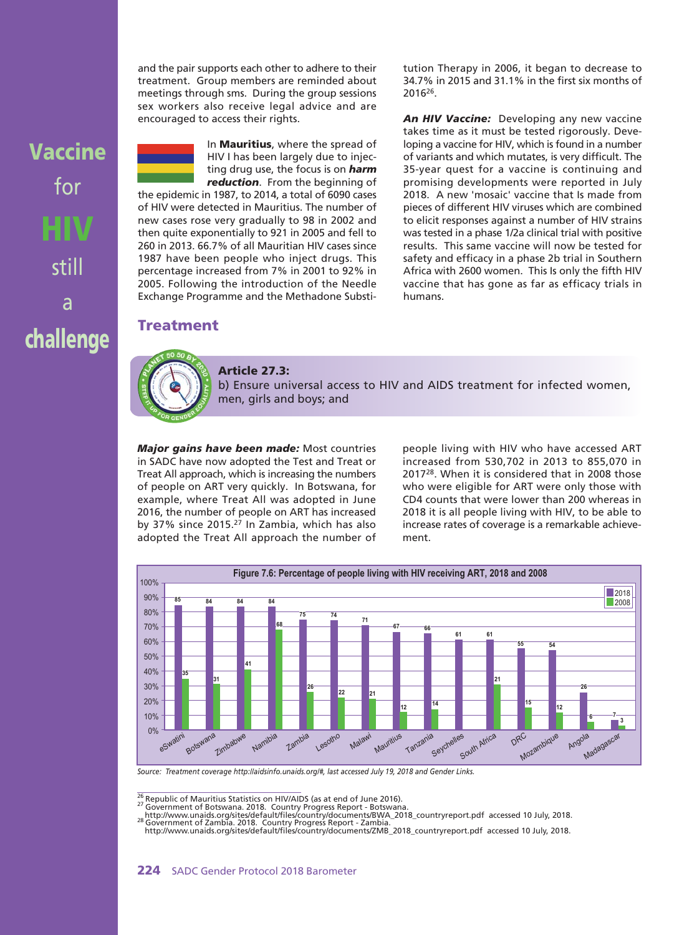and the pair supports each other to adhere to their treatment. Group members are reminded about meetings through sms. During the group sessions sex workers also receive legal advice and are encouraged to access their rights.



for **HIV** still a **challenge** In **Mauritius**, where the spread of HIV I has been largely due to injecting drug use, the focus is on *harm reduction*. From the beginning of

the epidemic in 1987, to 2014, a total of 6090 cases of HIV were detected in Mauritius. The number of new cases rose very gradually to 98 in 2002 and then quite exponentially to 921 in 2005 and fell to 260 in 2013. 66.7% of all Mauritian HIV cases since 1987 have been people who inject drugs. This percentage increased from 7% in 2001 to 92% in 2005. Following the introduction of the Needle Exchange Programme and the Methadone Substitution Therapy in 2006, it began to decrease to 34.7% in 2015 and 31.1% in the first six months of 201626.

*An HIV Vaccine:* Developing any new vaccine takes time as it must be tested rigorously. Developing a vaccine for HIV, which is found in a number of variants and which mutates, is very difficult. The 35-year quest for a vaccine is continuing and promising developments were reported in July 2018. A new 'mosaic' vaccine that Is made from pieces of different HIV viruses which are combined to elicit responses against a number of HIV strains was tested in a phase 1/2a clinical trial with positive results. This same vaccine will now be tested for safety and efficacy in a phase 2b trial in Southern Africa with 2600 women. This Is only the fifth HIV vaccine that has gone as far as efficacy trials in humans.

### **Treatment**



**Article 27.3:** b) Ensure universal access to HIV and AIDS treatment for infected women, men, girls and boys; and

*Major gains have been made:* Most countries in SADC have now adopted the Test and Treat or Treat All approach, which is increasing the numbers of people on ART very quickly. In Botswana, for example, where Treat All was adopted in June 2016, the number of people on ART has increased by 37% since 2015.27 In Zambia, which has also adopted the Treat All approach the number of

people living with HIV who have accessed ART increased from 530,702 in 2013 to 855,070 in 201728. When it is considered that in 2008 those who were eligible for ART were only those with CD4 counts that were lower than 200 whereas in 2018 it is all people living with HIV, to be able to increase rates of coverage is a remarkable achievement.



*Source: Treatment coverage http://aidsinfo.unaids.org/#, last accessed July 19, 2018 and Gender Links.*

 $\frac{26}{16}$  Republic of Mauritius Statistics on HIV/AIDS (as at end of June 2016).<br><sup>27</sup> Government of Botswana. 2018. Country Progress Report - Botswana

http://www.unaids.org/sites/default/files/country/documents/BWA\_2018\_countryreport.pdf accessed 10 July, 2018.<br><sup>28</sup> Government of Zambia. 2018. Country Progress Report - Zambia.

http://www.unaids.org/sites/default/files/country/documents/ZMB\_2018\_countryreport.pdf accessed 10 July, 2018.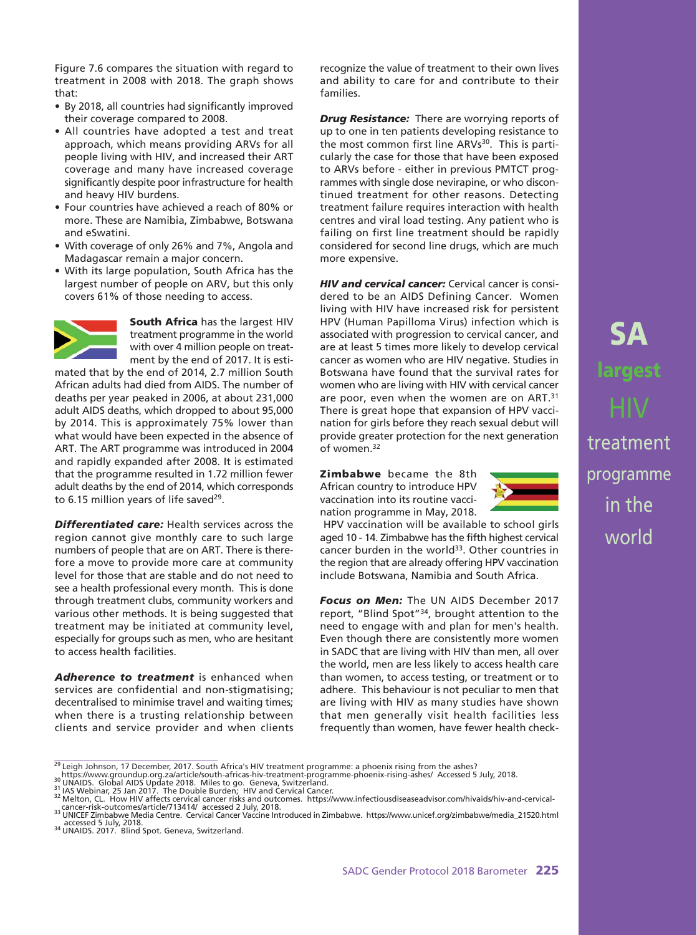Figure 7.6 compares the situation with regard to treatment in 2008 with 2018. The graph shows that:

- By 2018, all countries had significantly improved their coverage compared to 2008.
- All countries have adopted a test and treat approach, which means providing ARVs for all people living with HIV, and increased their ART coverage and many have increased coverage significantly despite poor infrastructure for health and heavy HIV burdens.
- Four countries have achieved a reach of 80% or more. These are Namibia, Zimbabwe, Botswana and eSwatini.
- With coverage of only 26% and 7%, Angola and Madagascar remain a major concern.
- With its large population, South Africa has the largest number of people on ARV, but this only covers 61% of those needing to access.



**South Africa** has the largest HIV treatment programme in the world with over 4 million people on treatment by the end of 2017. It is esti-

mated that by the end of 2014, 2.7 million South African adults had died from AIDS. The number of deaths per year peaked in 2006, at about 231,000 adult AIDS deaths, which dropped to about 95,000 by 2014. This is approximately 75% lower than what would have been expected in the absence of ART. The ART programme was introduced in 2004 and rapidly expanded after 2008. It is estimated that the programme resulted in 1.72 million fewer adult deaths by the end of 2014, which corresponds to 6.15 million years of life saved<sup>29</sup>.

*Differentiated care:* Health services across the region cannot give monthly care to such large numbers of people that are on ART. There is therefore a move to provide more care at community level for those that are stable and do not need to see a health professional every month. This is done through treatment clubs, community workers and various other methods. It is being suggested that treatment may be initiated at community level, especially for groups such as men, who are hesitant to access health facilities.

*Adherence to treatment* is enhanced when services are confidential and non-stigmatising; decentralised to minimise travel and waiting times; when there is a trusting relationship between clients and service provider and when clients

recognize the value of treatment to their own lives and ability to care for and contribute to their families.

*Drug Resistance:* There are worrying reports of up to one in ten patients developing resistance to the most common first line ARVs<sup>30</sup>. This is particularly the case for those that have been exposed to ARVs before - either in previous PMTCT programmes with single dose nevirapine, or who discontinued treatment for other reasons. Detecting treatment failure requires interaction with health centres and viral load testing. Any patient who is failing on first line treatment should be rapidly considered for second line drugs, which are much more expensive.

*HIV and cervical cancer:* Cervical cancer is considered to be an AIDS Defining Cancer. Women living with HIV have increased risk for persistent HPV (Human Papilloma Virus) infection which is associated with progression to cervical cancer, and are at least 5 times more likely to develop cervical cancer as women who are HIV negative. Studies in Botswana have found that the survival rates for women who are living with HIV with cervical cancer are poor, even when the women are on ART.<sup>31</sup> There is great hope that expansion of HPV vaccination for girls before they reach sexual debut will provide greater protection for the next generation of women.<sup>32</sup>

**Zimbabwe** became the 8th African country to introduce HPV vaccination into its routine vaccination programme in May, 2018.



 HPV vaccination will be available to school girls aged 10 - 14. Zimbabwe has the fifth highest cervical cancer burden in the world<sup>33</sup>. Other countries in the region that are already offering HPV vaccination include Botswana, Namibia and South Africa.

*Focus on Men:* The UN AIDS December 2017 report, "Blind Spot"34, brought attention to the need to engage with and plan for men's health. Even though there are consistently more women in SADC that are living with HIV than men, all over the world, men are less likely to access health care than women, to access testing, or treatment or to adhere. This behaviour is not peculiar to men that are living with HIV as many studies have shown that men generally visit health facilities less frequently than women, have fewer health check-

- 
- 

**SA largest** treatment programme in the world

<sup>&</sup>lt;sup>29</sup> Leigh Johnson, 17 December, 2017. South Africa's HIV treatment programme: a phoenix rising from the ashes?

<sup>30</sup> https://www.groundup.org.za/article/south-africas-hiv-treatment-programme-phoenix-rising-ashes/ Accessed 5 July, 2018.<br><sup>31</sup> UNAIDS. Global AIDS Update 2018. Miles to go. Geneva, Switzerland.<br><sup>31</sup> IAS Webinar, 25 Jan 201

\_\_cancer-risk-outcomes/article/713414/ accessed 2 July, 2018.<br><sup>33</sup> UNICEF Zimbabwe Media Centre. Cervical Cancer Vaccine Introduced in Zimbabwe. https://www.unicef.org/zimbabwe/media\_21520.html

accessed 5 July, 2018.<br>accessed 5 July, 2018.<br>accessed 5 July, 2018.<br>34 UNAIDS. 2017. Blind Spot. Geneva, Switzerland.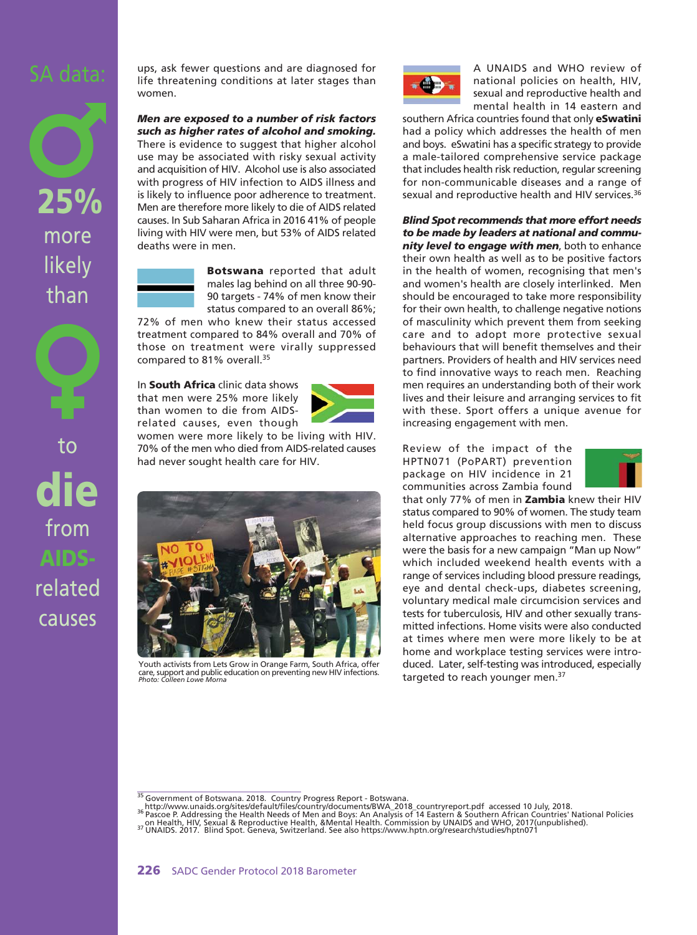



**25%** more likely than



to **die** from **AIDS**related causes

ups, ask fewer questions and are diagnosed for life threatening conditions at later stages than women.

*Men are exposed to a number of risk factors such as higher rates of alcohol and smoking.* There is evidence to suggest that higher alcohol use may be associated with risky sexual activity and acquisition of HIV. Alcohol use is also associated with progress of HIV infection to AIDS illness and is likely to influence poor adherence to treatment. Men are therefore more likely to die of AIDS related causes. In Sub Saharan Africa in 2016 41% of people living with HIV were men, but 53% of AIDS related deaths were in men.



**Botswana** reported that adult males lag behind on all three 90-90- 90 targets - 74% of men know their status compared to an overall 86%;

72% of men who knew their status accessed treatment compared to 84% overall and 70% of those on treatment were virally suppressed compared to 81% overall.35

In **South Africa** clinic data shows that men were 25% more likely than women to die from AIDSrelated causes, even though



women were more likely to be living with HIV. 70% of the men who died from AIDS-related causes had never sought health care for HIV.



Youth activists from Lets Grow in Orange Farm, South Africa, offer care, support and public education on preventing new HIV infections. *Photo: Colleen Lowe Morna*



A UNAIDS and WHO review of national policies on health, HIV, sexual and reproductive health and mental health in 14 eastern and

southern Africa countries found that only **eSwatini** had a policy which addresses the health of men and boys. eSwatini has a specific strategy to provide a male-tailored comprehensive service package that includes health risk reduction, regular screening for non-communicable diseases and a range of sexual and reproductive health and HIV services.<sup>36</sup>

*Blind Spot recommends that more effort needs to be made by leaders at national and community level to engage with men*, both to enhance their own health as well as to be positive factors in the health of women, recognising that men's and women's health are closely interlinked. Men should be encouraged to take more responsibility for their own health, to challenge negative notions of masculinity which prevent them from seeking care and to adopt more protective sexual behaviours that will benefit themselves and their partners. Providers of health and HIV services need to find innovative ways to reach men. Reaching men requires an understanding both of their work lives and their leisure and arranging services to fit with these. Sport offers a unique avenue for increasing engagement with men.

Review of the impact of the HPTN071 (PoPART) prevention package on HIV incidence in 21 communities across Zambia found



that only 77% of men in **Zambia** knew their HIV status compared to 90% of women. The study team held focus group discussions with men to discuss alternative approaches to reaching men. These were the basis for a new campaign "Man up Now" which included weekend health events with a range of services including blood pressure readings, eye and dental check-ups, diabetes screening, voluntary medical male circumcision services and tests for tuberculosis, HIV and other sexually transmitted infections. Home visits were also conducted at times where men were more likely to be at home and workplace testing services were introduced. Later, self-testing was introduced, especially targeted to reach younger men.<sup>37</sup>

on Health, HIV, Sexual & Reproductive Health, & Mental Health. Commission by UNAIDS. 2017. Blind Spot. Geneva, Switzerland. See also https://www.hptn.org/research/studies/hptn071

<sup>35</sup> Government of Botswana. 2018. Country Progress Report - Botswana.

<sup>16</sup> Distribution in Distribution of the Section of the Section of the Section of the Section of the Section of the Section of the Section of the Section of the Section of the Section of the Section of the Section of the Sec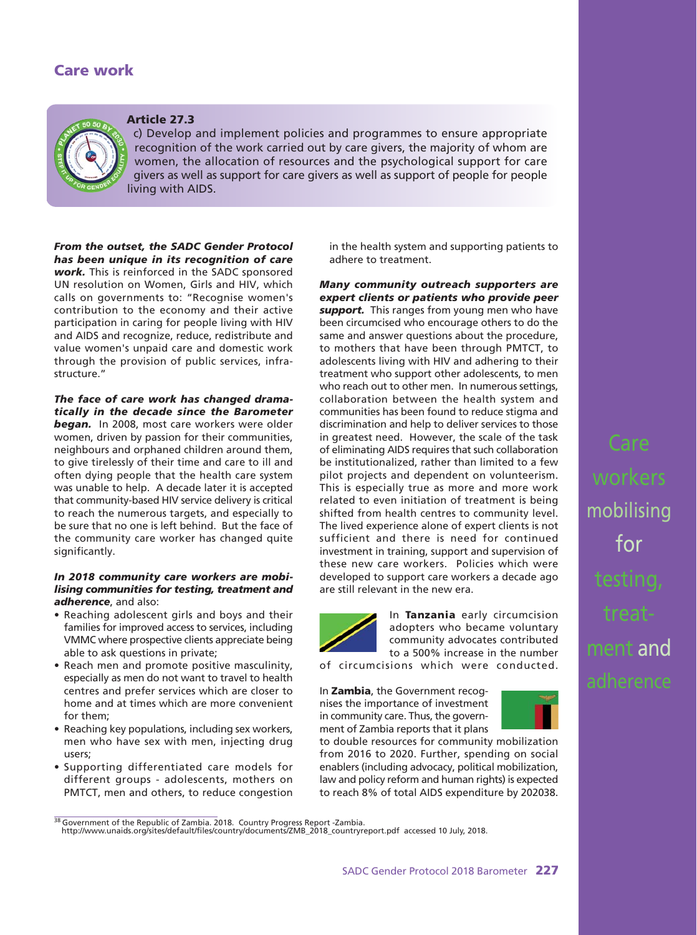### **Care work**



### **Article 27.3**

c) Develop and implement policies and programmes to ensure appropriate recognition of the work carried out by care givers, the majority of whom are women, the allocation of resources and the psychological support for care givers as well as support for care givers as well as support of people for people living with AIDS.

*From the outset, the SADC Gender Protocol has been unique in its recognition of care work.* This is reinforced in the SADC sponsored UN resolution on Women, Girls and HIV, which calls on governments to: "Recognise women's contribution to the economy and their active participation in caring for people living with HIV and AIDS and recognize, reduce, redistribute and value women's unpaid care and domestic work through the provision of public services, infrastructure."

*The face of care work has changed dramatically in the decade since the Barometer began.* In 2008, most care workers were older women, driven by passion for their communities, neighbours and orphaned children around them, to give tirelessly of their time and care to ill and often dying people that the health care system was unable to help. A decade later it is accepted that community-based HIV service delivery is critical to reach the numerous targets, and especially to be sure that no one is left behind. But the face of the community care worker has changed quite significantly.

### *In 2018 community care workers are mobilising communities for testing, treatment and adherence*, and also:

- Reaching adolescent girls and boys and their families for improved access to services, including VMMC where prospective clients appreciate being able to ask questions in private;
- Reach men and promote positive masculinity, especially as men do not want to travel to health centres and prefer services which are closer to home and at times which are more convenient for them;
- Reaching key populations, including sex workers, men who have sex with men, injecting drug users;
- Supporting differentiated care models for different groups - adolescents, mothers on PMTCT, men and others, to reduce congestion

<sup>38</sup> Government of the Republic of Zambia. 2018. Country Progress Report -Zambia.

in the health system and supporting patients to adhere to treatment.

*Many community outreach supporters are expert clients or patients who provide peer support.* This ranges from young men who have been circumcised who encourage others to do the same and answer questions about the procedure, to mothers that have been through PMTCT, to adolescents living with HIV and adhering to their treatment who support other adolescents, to men who reach out to other men. In numerous settings, collaboration between the health system and communities has been found to reduce stigma and discrimination and help to deliver services to those in greatest need. However, the scale of the task of eliminating AIDS requires that such collaboration be institutionalized, rather than limited to a few pilot projects and dependent on volunteerism. This is especially true as more and more work related to even initiation of treatment is being shifted from health centres to community level. The lived experience alone of expert clients is not sufficient and there is need for continued investment in training, support and supervision of these new care workers. Policies which were developed to support care workers a decade ago are still relevant in the new era.



In **Tanzania** early circumcision adopters who became voluntary community advocates contributed to a 500% increase in the number

of circumcisions which were conducted.

In **Zambia**, the Government recognises the importance of investment in community care. Thus, the government of Zambia reports that it plans



to double resources for community mobilization from 2016 to 2020. Further, spending on social enablers (including advocacy, political mobilization, law and policy reform and human rights) is expected to reach 8% of total AIDS expenditure by 202038.

mobilising for ment and